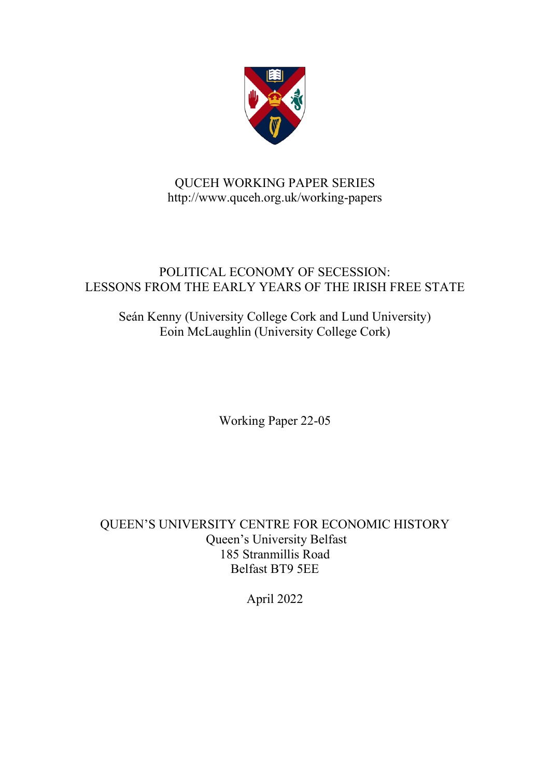

# QUCEH WORKING PAPER SERIES http://www.quceh.org.uk/working-papers

## POLITICAL ECONOMY OF SECESSION: LESSONS FROM THE EARLY YEARS OF THE IRISH FREE STATE

Seán Kenny (University College Cork and Lund University) Eoin McLaughlin (University College Cork)

Working Paper 22-05

QUEEN'S UNIVERSITY CENTRE FOR ECONOMIC HISTORY Queen's University Belfast 185 Stranmillis Road Belfast BT9 5EE

April 2022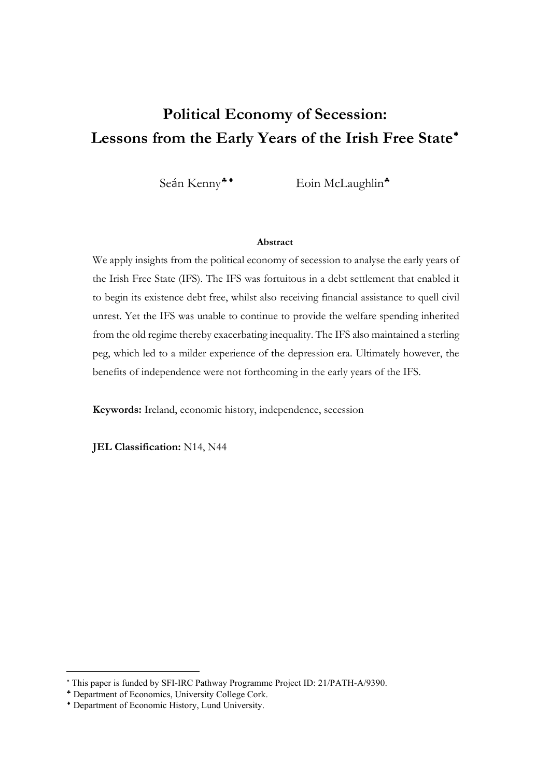# **Political Economy of Secession: Lessons from the Early Years of the Irish Free State**[∗](#page-1-0)

Seán Kenny<sup>\*</sup> Eoin McLaughlin<sup>\*</sup>

#### **Abstract**

We apply insights from the political economy of secession to analyse the early years of the Irish Free State (IFS). The IFS was fortuitous in a debt settlement that enabled it to begin its existence debt free, whilst also receiving financial assistance to quell civil unrest. Yet the IFS was unable to continue to provide the welfare spending inherited from the old regime thereby exacerbating inequality. The IFS also maintained a sterling peg, which led to a milder experience of the depression era. Ultimately however, the benefits of independence were not forthcoming in the early years of the IFS.

**Keywords:** Ireland, economic history, independence, secession

**JEL Classification:** N14, N44

<span id="page-1-0"></span><sup>∗</sup> This paper is funded by SFI-IRC Pathway Programme Project ID: 21/PATH-A/9390.

<span id="page-1-1"></span><sup>♣</sup> Department of Economics, University College Cork.

<span id="page-1-2"></span><sup>♦</sup> Department of Economic History, Lund University.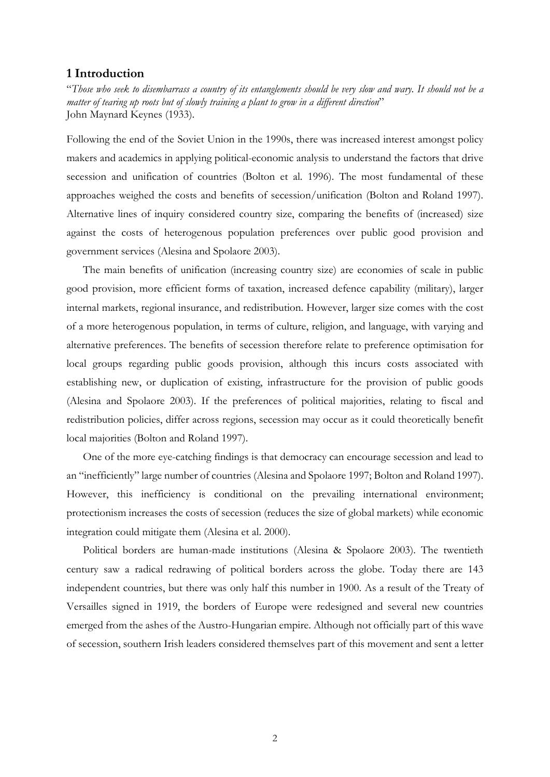## **1 Introduction**

"*Those who seek to disembarrass a country of its entanglements should be very slow and wary. It should not be a matter of tearing up roots but of slowly training a plant to grow in a different direction*" John Maynard Keynes (1933).

Following the end of the Soviet Union in the 1990s, there was increased interest amongst policy makers and academics in applying political-economic analysis to understand the factors that drive secession and unification of countries (Bolton et al. 1996). The most fundamental of these approaches weighed the costs and benefits of secession/unification (Bolton and Roland 1997). Alternative lines of inquiry considered country size, comparing the benefits of (increased) size against the costs of heterogenous population preferences over public good provision and government services (Alesina and Spolaore 2003).

The main benefits of unification (increasing country size) are economies of scale in public good provision, more efficient forms of taxation, increased defence capability (military), larger internal markets, regional insurance, and redistribution. However, larger size comes with the cost of a more heterogenous population, in terms of culture, religion, and language, with varying and alternative preferences. The benefits of secession therefore relate to preference optimisation for local groups regarding public goods provision, although this incurs costs associated with establishing new, or duplication of existing, infrastructure for the provision of public goods (Alesina and Spolaore 2003). If the preferences of political majorities, relating to fiscal and redistribution policies, differ across regions, secession may occur as it could theoretically benefit local majorities (Bolton and Roland 1997).

One of the more eye-catching findings is that democracy can encourage secession and lead to an "inefficiently" large number of countries (Alesina and Spolaore 1997; Bolton and Roland 1997). However, this inefficiency is conditional on the prevailing international environment; protectionism increases the costs of secession (reduces the size of global markets) while economic integration could mitigate them (Alesina et al. 2000).

Political borders are human-made institutions (Alesina & Spolaore 2003). The twentieth century saw a radical redrawing of political borders across the globe. Today there are 143 independent countries, but there was only half this number in 1900. As a result of the Treaty of Versailles signed in 1919, the borders of Europe were redesigned and several new countries emerged from the ashes of the Austro-Hungarian empire. Although not officially part of this wave of secession, southern Irish leaders considered themselves part of this movement and sent a letter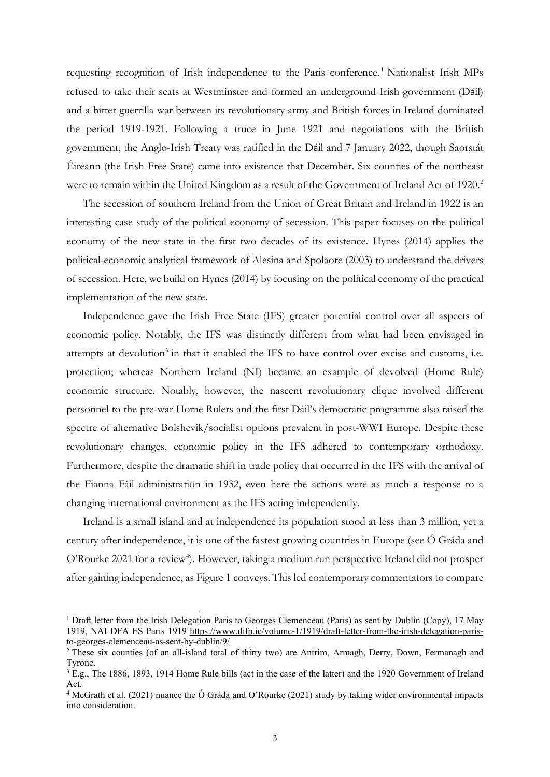requesting recognition of Irish independence to the Paris conference.<sup>[1](#page-3-0)</sup> Nationalist Irish MPs refused to take their seats at Westminster and formed an underground Irish government (Dáil) and a bitter guerrilla war between its revolutionary army and British forces in Ireland dominated the period 1919-1921. Following a truce in June 1921 and negotiations with the British government, the Anglo-Irish Treaty was ratified in the Dáil and 7 January 2022, though Saorstát Éireann (the Irish Free State) came into existence that December. Six counties of the northeast were to remain within the United Kingdom as a result of the Government of Ireland Act of 19[2](#page-3-1)0.<sup>2</sup>

The secession of southern Ireland from the Union of Great Britain and Ireland in 1922 is an interesting case study of the political economy of secession. This paper focuses on the political economy of the new state in the first two decades of its existence. Hynes (2014) applies the political-economic analytical framework of Alesina and Spolaore (2003) to understand the drivers of secession. Here, we build on Hynes (2014) by focusing on the political economy of the practical implementation of the new state.

Independence gave the Irish Free State (IFS) greater potential control over all aspects of economic policy. Notably, the IFS was distinctly different from what had been envisaged in attempts at devolution<sup>[3](#page-3-2)</sup> in that it enabled the IFS to have control over excise and customs, i.e. protection; whereas Northern Ireland (NI) became an example of devolved (Home Rule) economic structure. Notably, however, the nascent revolutionary clique involved different personnel to the pre-war Home Rulers and the first Dáil's democratic programme also raised the spectre of alternative Bolshevik/socialist options prevalent in post-WWI Europe. Despite these revolutionary changes, economic policy in the IFS adhered to contemporary orthodoxy. Furthermore, despite the dramatic shift in trade policy that occurred in the IFS with the arrival of the Fianna Fáil administration in 1932, even here the actions were as much a response to a changing international environment as the IFS acting independently.

Ireland is a small island and at independence its population stood at less than 3 million, yet a century after independence, it is one of the fastest growing countries in Europe (see Ó Gráda and O'Rourke 2021 for a review<sup>[4](#page-3-3)</sup>). However, taking a medium run perspective Ireland did not prosper after gaining independence, as Figure 1 conveys. This led contemporary commentators to compare

<span id="page-3-0"></span><sup>&</sup>lt;sup>1</sup> Draft letter from the Irish Delegation Paris to Georges Clemenceau (Paris) as sent by Dublin (Copy), 17 May 1919, NAI DFA ES Paris 1919 [https://www.difp.ie/volume-1/1919/draft-letter-from-the-irish-delegation-paris](https://www.difp.ie/volume-1/1919/draft-letter-from-the-irish-delegation-paris-to-georges-clemenceau-as-sent-by-dublin/9/)[to-georges-clemenceau-as-sent-by-dublin/9/](https://www.difp.ie/volume-1/1919/draft-letter-from-the-irish-delegation-paris-to-georges-clemenceau-as-sent-by-dublin/9/)

<span id="page-3-1"></span> $\frac{2}{3}$  These six counties (of an all-island total of thirty two) are Antrim, Armagh, Derry, Down, Fermanagh and Tyrone.

<span id="page-3-2"></span><sup>&</sup>lt;sup>3</sup> E.g., The 1886, 1893, 1914 Home Rule bills (act in the case of the latter) and the 1920 Government of Ireland Act.

<span id="page-3-3"></span><sup>4</sup> McGrath et al. (2021) nuance the Ó Gráda and O'Rourke (2021) study by taking wider environmental impacts into consideration.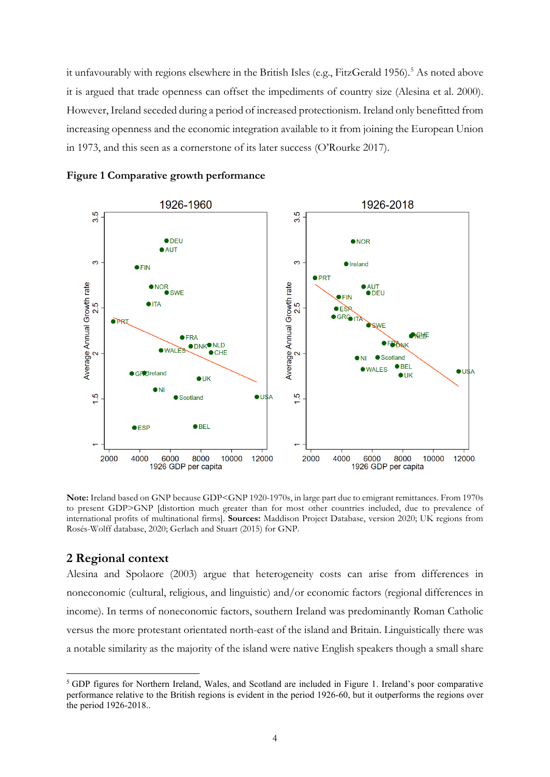it unfavourably with regions elsewhere in the British Isles (e.g., FitzGerald 19[5](#page-4-0)6).<sup>5</sup> As noted above it is argued that trade openness can offset the impediments of country size (Alesina et al. 2000). However, Ireland seceded during a period of increased protectionism. Ireland only benefitted from increasing openness and the economic integration available to it from joining the European Union in 1973, and this seen as a cornerstone of its later success (O'Rourke 2017).



**Figure 1 Comparative growth performance** 

**Note:** Ireland based on GNP because GDP<GNP 1920-1970s, in large part due to emigrant remittances. From 1970s to present GDP>GNP [distortion much greater than for most other countries included, due to prevalence of international profits of multinational firms]. **Sources:** Maddison Project Database, version 2020; UK regions from Rosés-Wolff database, 2020; Gerlach and Stuart (2015) for GNP.

## **2 Regional context**

Alesina and Spolaore (2003) argue that heterogeneity costs can arise from differences in noneconomic (cultural, religious, and linguistic) and/or economic factors (regional differences in income). In terms of noneconomic factors, southern Ireland was predominantly Roman Catholic versus the more protestant orientated north-east of the island and Britain. Linguistically there was a notable similarity as the majority of the island were native English speakers though a small share

<span id="page-4-0"></span><sup>5</sup> GDP figures for Northern Ireland, Wales, and Scotland are included in Figure 1. Ireland's poor comparative performance relative to the British regions is evident in the period 1926-60, but it outperforms the regions over the period 1926-2018..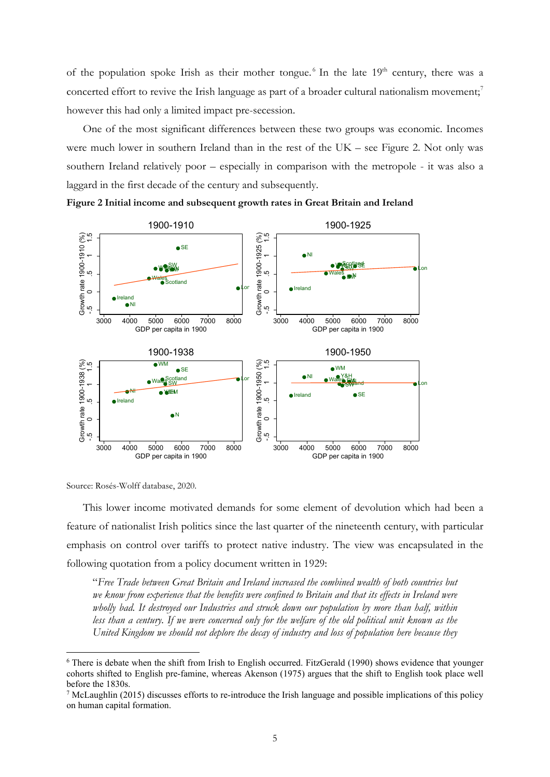of the population spoke Irish as their mother tongue.<sup>[6](#page-5-0)</sup> In the late  $19<sup>th</sup>$  century, there was a concerted effort to revive the Irish language as part of a broader cultural nationalism movement;<sup>[7](#page-5-1)</sup> however this had only a limited impact pre-secession.

One of the most significant differences between these two groups was economic. Incomes were much lower in southern Ireland than in the rest of the UK – see Figure 2. Not only was southern Ireland relatively poor – especially in comparison with the metropole - it was also a laggard in the first decade of the century and subsequently.



**Figure 2 Initial income and subsequent growth rates in Great Britain and Ireland**

Source: Rosés-Wolff database, 2020.

This lower income motivated demands for some element of devolution which had been a feature of nationalist Irish politics since the last quarter of the nineteenth century, with particular emphasis on control over tariffs to protect native industry. The view was encapsulated in the following quotation from a policy document written in 1929:

"*Free Trade between Great Britain and Ireland increased the combined wealth of both countries but we know from experience that the benefits were confined to Britain and that its effects in Ireland were wholly bad. It destroyed our Industries and struck down our population by more than half, within*  less than a century. If we were concerned only for the welfare of the old political unit known as the *United Kingdom we should not deplore the decay of industry and loss of population here because they* 

<span id="page-5-0"></span><sup>6</sup> There is debate when the shift from Irish to English occurred. FitzGerald (1990) shows evidence that younger cohorts shifted to English pre-famine, whereas Akenson (1975) argues that the shift to English took place well before the 1830s.

<span id="page-5-1"></span><sup>7</sup> McLaughlin (2015) discusses efforts to re-introduce the Irish language and possible implications of this policy on human capital formation.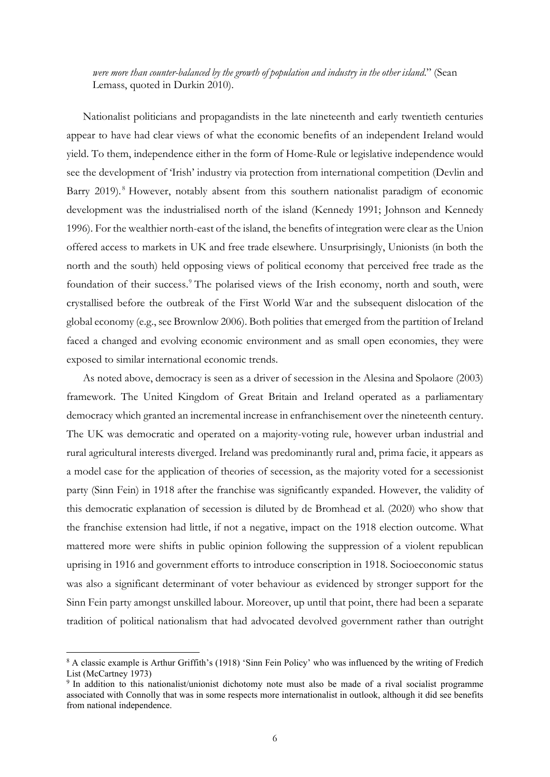*were more than counter-balanced by the growth of population and industry in the other island*." (Sean Lemass, quoted in Durkin 2010).

Nationalist politicians and propagandists in the late nineteenth and early twentieth centuries appear to have had clear views of what the economic benefits of an independent Ireland would yield. To them, independence either in the form of Home-Rule or legislative independence would see the development of 'Irish' industry via protection from international competition (Devlin and Barry 2019).<sup>[8](#page-6-0)</sup> However, notably absent from this southern nationalist paradigm of economic development was the industrialised north of the island (Kennedy 1991; Johnson and Kennedy 1996). For the wealthier north-east of the island, the benefits of integration were clear as the Union offered access to markets in UK and free trade elsewhere. Unsurprisingly, Unionists (in both the north and the south) held opposing views of political economy that perceived free trade as the foundation of their success.<sup>[9](#page-6-1)</sup> The polarised views of the Irish economy, north and south, were crystallised before the outbreak of the First World War and the subsequent dislocation of the global economy (e.g., see Brownlow 2006). Both polities that emerged from the partition of Ireland faced a changed and evolving economic environment and as small open economies, they were exposed to similar international economic trends.

As noted above, democracy is seen as a driver of secession in the Alesina and Spolaore (2003) framework. The United Kingdom of Great Britain and Ireland operated as a parliamentary democracy which granted an incremental increase in enfranchisement over the nineteenth century. The UK was democratic and operated on a majority-voting rule, however urban industrial and rural agricultural interests diverged. Ireland was predominantly rural and, prima facie, it appears as a model case for the application of theories of secession, as the majority voted for a secessionist party (Sinn Fein) in 1918 after the franchise was significantly expanded. However, the validity of this democratic explanation of secession is diluted by de Bromhead et al. (2020) who show that the franchise extension had little, if not a negative, impact on the 1918 election outcome. What mattered more were shifts in public opinion following the suppression of a violent republican uprising in 1916 and government efforts to introduce conscription in 1918. Socioeconomic status was also a significant determinant of voter behaviour as evidenced by stronger support for the Sinn Fein party amongst unskilled labour. Moreover, up until that point, there had been a separate tradition of political nationalism that had advocated devolved government rather than outright

<span id="page-6-0"></span><sup>8</sup> A classic example is Arthur Griffith's (1918) 'Sinn Fein Policy' who was influenced by the writing of Fredich List (McCartney 1973)

<span id="page-6-1"></span><sup>9</sup> In addition to this nationalist/unionist dichotomy note must also be made of a rival socialist programme associated with Connolly that was in some respects more internationalist in outlook, although it did see benefits from national independence.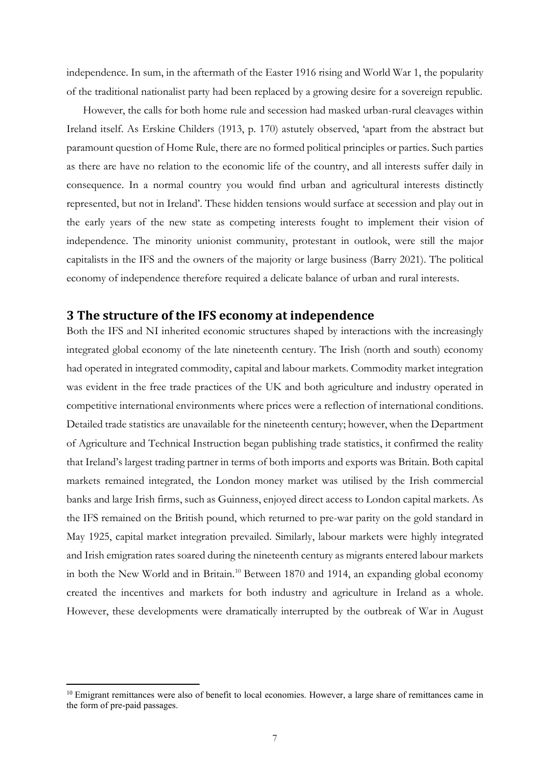independence. In sum, in the aftermath of the Easter 1916 rising and World War 1, the popularity of the traditional nationalist party had been replaced by a growing desire for a sovereign republic.

However, the calls for both home rule and secession had masked urban-rural cleavages within Ireland itself. As Erskine Childers (1913, p. 170) astutely observed, 'apart from the abstract but paramount question of Home Rule, there are no formed political principles or parties. Such parties as there are have no relation to the economic life of the country, and all interests suffer daily in consequence. In a normal country you would find urban and agricultural interests distinctly represented, but not in Ireland'. These hidden tensions would surface at secession and play out in the early years of the new state as competing interests fought to implement their vision of independence. The minority unionist community, protestant in outlook, were still the major capitalists in the IFS and the owners of the majority or large business (Barry 2021). The political economy of independence therefore required a delicate balance of urban and rural interests.

## **3 The structure of the IFS economy at independence**

Both the IFS and NI inherited economic structures shaped by interactions with the increasingly integrated global economy of the late nineteenth century. The Irish (north and south) economy had operated in integrated commodity, capital and labour markets. Commodity market integration was evident in the free trade practices of the UK and both agriculture and industry operated in competitive international environments where prices were a reflection of international conditions. Detailed trade statistics are unavailable for the nineteenth century; however, when the Department of Agriculture and Technical Instruction began publishing trade statistics, it confirmed the reality that Ireland's largest trading partner in terms of both imports and exports was Britain. Both capital markets remained integrated, the London money market was utilised by the Irish commercial banks and large Irish firms, such as Guinness, enjoyed direct access to London capital markets. As the IFS remained on the British pound, which returned to pre-war parity on the gold standard in May 1925, capital market integration prevailed. Similarly, labour markets were highly integrated and Irish emigration rates soared during the nineteenth century as migrants entered labour markets in both the New World and in Britain.<sup>[10](#page-7-0)</sup> Between 1870 and 1914, an expanding global economy created the incentives and markets for both industry and agriculture in Ireland as a whole. However, these developments were dramatically interrupted by the outbreak of War in August

<span id="page-7-0"></span><sup>&</sup>lt;sup>10</sup> Emigrant remittances were also of benefit to local economies. However, a large share of remittances came in the form of pre-paid passages.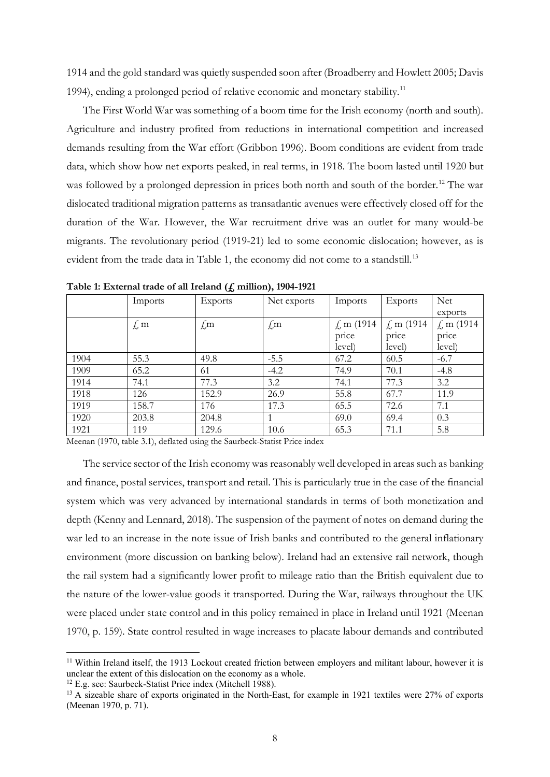1914 and the gold standard was quietly suspended soon after (Broadberry and Howlett 2005; Davis 1994), ending a prolonged period of relative economic and monetary stability.<sup>[11](#page-8-0)</sup>

The First World War was something of a boom time for the Irish economy (north and south). Agriculture and industry profited from reductions in international competition and increased demands resulting from the War effort (Gribbon 1996). Boom conditions are evident from trade data, which show how net exports peaked, in real terms, in 1918. The boom lasted until 1920 but was followed by a prolonged depression in prices both north and south of the border.<sup>[12](#page-8-1)</sup> The war dislocated traditional migration patterns as transatlantic avenues were effectively closed off for the duration of the War. However, the War recruitment drive was an outlet for many would-be migrants. The revolutionary period (1919-21) led to some economic dislocation; however, as is evident from the trade data in Table 1, the economy did not come to a standstill.<sup>[13](#page-8-2)</sup>

|      | Imports   | Exports | Net exports | Imports                  | Exports                  | Net            |
|------|-----------|---------|-------------|--------------------------|--------------------------|----------------|
|      |           |         |             |                          |                          | exports        |
|      | $\oint$ m | $\pm m$ | $\pm m$     | $\measuredangle$ m (1914 | $\measuredangle$ m (1914 | $\int$ m (1914 |
|      |           |         |             | price                    | price                    | price          |
|      |           |         |             | level)                   | level)                   | level)         |
| 1904 | 55.3      | 49.8    | $-5.5$      | 67.2                     | 60.5                     | $-6.7$         |
| 1909 | 65.2      | 61      | $-4.2$      | 74.9                     | 70.1                     | $-4.8$         |
| 1914 | 74.1      | 77.3    | 3.2         | 74.1                     | 77.3                     | 3.2            |
| 1918 | 126       | 152.9   | 26.9        | 55.8                     | 67.7                     | 11.9           |
| 1919 | 158.7     | 176     | 17.3        | 65.5                     | 72.6                     | 7.1            |
| 1920 | 203.8     | 204.8   |             | 69.0                     | 69.4                     | 0.3            |
| 1921 | 119       | 129.6   | 10.6        | 65.3                     | 71.1                     | 5.8            |

**Table 1: External trade of all Ireland (£ million), 1904-1921**

Meenan (1970, table 3.1), deflated using the Saurbeck-Statist Price index

The service sector of the Irish economy was reasonably well developed in areas such as banking and finance, postal services, transport and retail. This is particularly true in the case of the financial system which was very advanced by international standards in terms of both monetization and depth (Kenny and Lennard, 2018). The suspension of the payment of notes on demand during the war led to an increase in the note issue of Irish banks and contributed to the general inflationary environment (more discussion on banking below). Ireland had an extensive rail network, though the rail system had a significantly lower profit to mileage ratio than the British equivalent due to the nature of the lower-value goods it transported. During the War, railways throughout the UK were placed under state control and in this policy remained in place in Ireland until 1921 (Meenan 1970, p. 159). State control resulted in wage increases to placate labour demands and contributed

<span id="page-8-0"></span><sup>&</sup>lt;sup>11</sup> Within Ireland itself, the 1913 Lockout created friction between employers and militant labour, however it is unclear the extent of this dislocation on the economy as a whole.

<span id="page-8-1"></span><sup>&</sup>lt;sup>12</sup> E.g. see: Saurbeck-Statist Price index (Mitchell 1988).

<span id="page-8-2"></span><sup>&</sup>lt;sup>13</sup> A sizeable share of exports originated in the North-East, for example in 1921 textiles were 27% of exports (Meenan 1970, p. 71).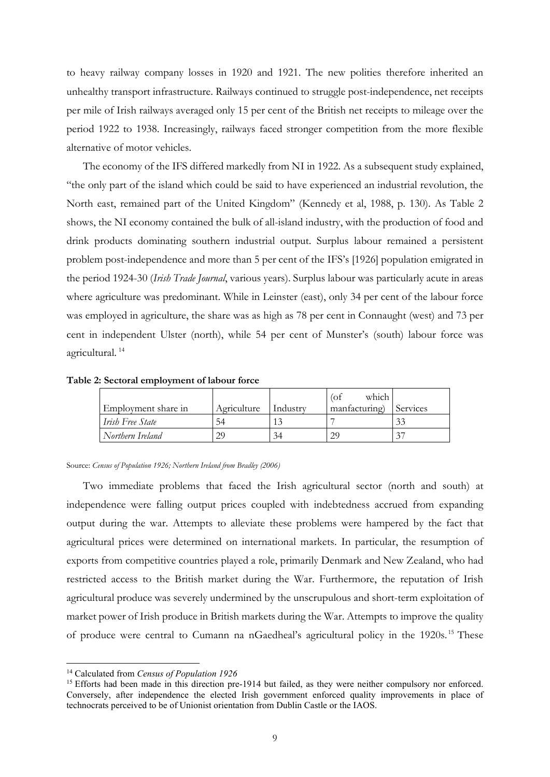to heavy railway company losses in 1920 and 1921. The new polities therefore inherited an unhealthy transport infrastructure. Railways continued to struggle post-independence, net receipts per mile of Irish railways averaged only 15 per cent of the British net receipts to mileage over the period 1922 to 1938. Increasingly, railways faced stronger competition from the more flexible alternative of motor vehicles.

The economy of the IFS differed markedly from NI in 1922. As a subsequent study explained, "the only part of the island which could be said to have experienced an industrial revolution, the North east, remained part of the United Kingdom" (Kennedy et al, 1988, p. 130). As Table 2 shows, the NI economy contained the bulk of all-island industry, with the production of food and drink products dominating southern industrial output. Surplus labour remained a persistent problem post-independence and more than 5 per cent of the IFS's [1926] population emigrated in the period 1924-30 (*Irish Trade Journal*, various years). Surplus labour was particularly acute in areas where agriculture was predominant. While in Leinster (east), only 34 per cent of the labour force was employed in agriculture, the share was as high as 78 per cent in Connaught (west) and 73 per cent in independent Ulster (north), while 54 per cent of Munster's (south) labour force was agricultural. [14](#page-9-0)

**Table 2: Sectoral employment of labour force**

| Employment share in | Agriculture | Industry | which<br>(of<br>manfacturing) | Services |
|---------------------|-------------|----------|-------------------------------|----------|
| Irish Free State    | 54          |          |                               | 33       |
| Northern Ireland    | 29          | 34       | 29                            | 27       |

Source: *Census of Population 1926; Northern Ireland from Bradley (2006)*

Two immediate problems that faced the Irish agricultural sector (north and south) at independence were falling output prices coupled with indebtedness accrued from expanding output during the war. Attempts to alleviate these problems were hampered by the fact that agricultural prices were determined on international markets. In particular, the resumption of exports from competitive countries played a role, primarily Denmark and New Zealand, who had restricted access to the British market during the War. Furthermore, the reputation of Irish agricultural produce was severely undermined by the unscrupulous and short-term exploitation of market power of Irish produce in British markets during the War. Attempts to improve the quality of produce were central to Cumann na nGaedheal's agricultural policy in the 1920s. [15](#page-9-1) These

<span id="page-9-0"></span><sup>14</sup> Calculated from *Census of Population 1926*

<span id="page-9-1"></span><sup>&</sup>lt;sup>15</sup> Efforts had been made in this direction pre-1914 but failed, as they were neither compulsory nor enforced. Conversely, after independence the elected Irish government enforced quality improvements in place of technocrats perceived to be of Unionist orientation from Dublin Castle or the IAOS.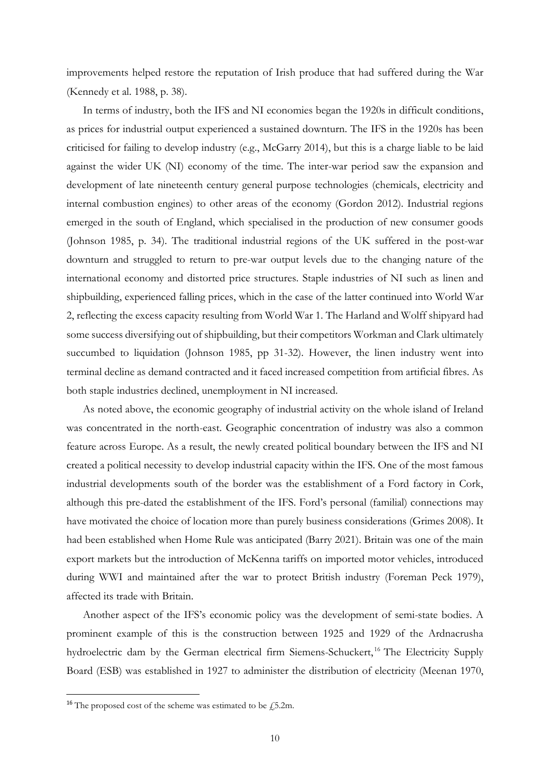improvements helped restore the reputation of Irish produce that had suffered during the War (Kennedy et al. 1988, p. 38).

In terms of industry, both the IFS and NI economies began the 1920s in difficult conditions, as prices for industrial output experienced a sustained downturn. The IFS in the 1920s has been criticised for failing to develop industry (e.g., McGarry 2014), but this is a charge liable to be laid against the wider UK (NI) economy of the time. The inter-war period saw the expansion and development of late nineteenth century general purpose technologies (chemicals, electricity and internal combustion engines) to other areas of the economy (Gordon 2012). Industrial regions emerged in the south of England, which specialised in the production of new consumer goods (Johnson 1985, p. 34). The traditional industrial regions of the UK suffered in the post-war downturn and struggled to return to pre-war output levels due to the changing nature of the international economy and distorted price structures. Staple industries of NI such as linen and shipbuilding, experienced falling prices, which in the case of the latter continued into World War 2, reflecting the excess capacity resulting from World War 1. The Harland and Wolff shipyard had some success diversifying out of shipbuilding, but their competitors Workman and Clark ultimately succumbed to liquidation (Johnson 1985, pp 31-32). However, the linen industry went into terminal decline as demand contracted and it faced increased competition from artificial fibres. As both staple industries declined, unemployment in NI increased.

As noted above, the economic geography of industrial activity on the whole island of Ireland was concentrated in the north-east. Geographic concentration of industry was also a common feature across Europe. As a result, the newly created political boundary between the IFS and NI created a political necessity to develop industrial capacity within the IFS. One of the most famous industrial developments south of the border was the establishment of a Ford factory in Cork, although this pre-dated the establishment of the IFS. Ford's personal (familial) connections may have motivated the choice of location more than purely business considerations (Grimes 2008). It had been established when Home Rule was anticipated (Barry 2021). Britain was one of the main export markets but the introduction of McKenna tariffs on imported motor vehicles, introduced during WWI and maintained after the war to protect British industry (Foreman Peck 1979), affected its trade with Britain.

Another aspect of the IFS's economic policy was the development of semi-state bodies. A prominent example of this is the construction between 1925 and 1929 of the Ardnacrusha hydroelectric dam by the German electrical firm Siemens-Schuckert,<sup>[16](#page-10-0)</sup> The Electricity Supply Board (ESB) was established in 1927 to administer the distribution of electricity (Meenan 1970,

<span id="page-10-0"></span><sup>&</sup>lt;sup>16</sup> The proposed cost of the scheme was estimated to be  $\sqrt{5.2m}$ .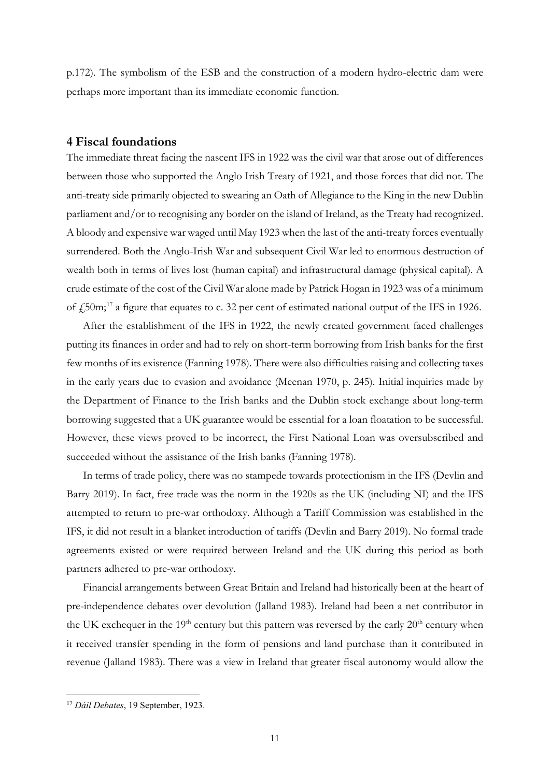p.172). The symbolism of the ESB and the construction of a modern hydro-electric dam were perhaps more important than its immediate economic function.

## **4 Fiscal foundations**

The immediate threat facing the nascent IFS in 1922 was the civil war that arose out of differences between those who supported the Anglo Irish Treaty of 1921, and those forces that did not. The anti-treaty side primarily objected to swearing an Oath of Allegiance to the King in the new Dublin parliament and/or to recognising any border on the island of Ireland, as the Treaty had recognized. A bloody and expensive war waged until May 1923 when the last of the anti-treaty forces eventually surrendered. Both the Anglo-Irish War and subsequent Civil War led to enormous destruction of wealth both in terms of lives lost (human capital) and infrastructural damage (physical capital). A crude estimate of the cost of the Civil War alone made by Patrick Hogan in 1923 was of a minimum of  $\frac{1}{2}$ 50m;<sup>[17](#page-11-0)</sup> a figure that equates to c. 32 per cent of estimated national output of the IFS in 1926.

After the establishment of the IFS in 1922, the newly created government faced challenges putting its finances in order and had to rely on short-term borrowing from Irish banks for the first few months of its existence (Fanning 1978). There were also difficulties raising and collecting taxes in the early years due to evasion and avoidance (Meenan 1970, p. 245). Initial inquiries made by the Department of Finance to the Irish banks and the Dublin stock exchange about long-term borrowing suggested that a UK guarantee would be essential for a loan floatation to be successful. However, these views proved to be incorrect, the First National Loan was oversubscribed and succeeded without the assistance of the Irish banks (Fanning 1978).

In terms of trade policy, there was no stampede towards protectionism in the IFS (Devlin and Barry 2019). In fact, free trade was the norm in the 1920s as the UK (including NI) and the IFS attempted to return to pre-war orthodoxy. Although a Tariff Commission was established in the IFS, it did not result in a blanket introduction of tariffs (Devlin and Barry 2019). No formal trade agreements existed or were required between Ireland and the UK during this period as both partners adhered to pre-war orthodoxy.

Financial arrangements between Great Britain and Ireland had historically been at the heart of pre-independence debates over devolution (Jalland 1983). Ireland had been a net contributor in the UK exchequer in the  $19<sup>th</sup>$  century but this pattern was reversed by the early  $20<sup>th</sup>$  century when it received transfer spending in the form of pensions and land purchase than it contributed in revenue (Jalland 1983). There was a view in Ireland that greater fiscal autonomy would allow the

<span id="page-11-0"></span><sup>17</sup> *Dáil Debates*, 19 September, 1923.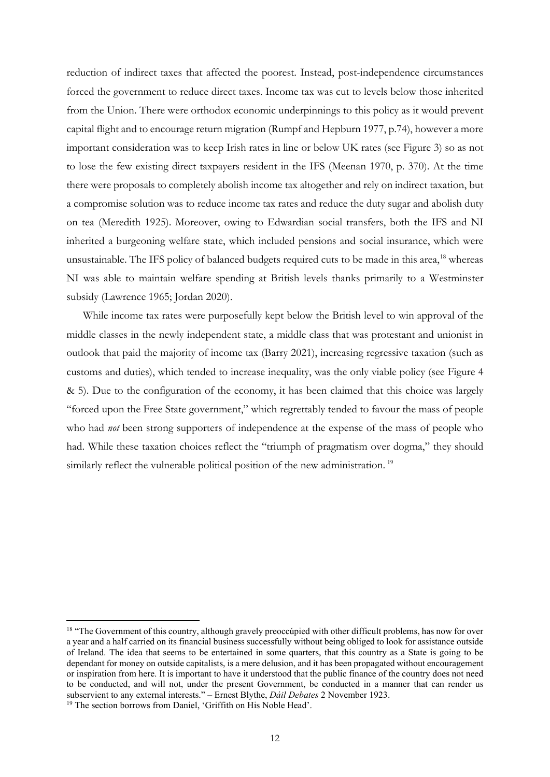reduction of indirect taxes that affected the poorest. Instead, post-independence circumstances forced the government to reduce direct taxes. Income tax was cut to levels below those inherited from the Union. There were orthodox economic underpinnings to this policy as it would prevent capital flight and to encourage return migration (Rumpf and Hepburn 1977, p.74), however a more important consideration was to keep Irish rates in line or below UK rates (see Figure 3) so as not to lose the few existing direct taxpayers resident in the IFS (Meenan 1970, p. 370). At the time there were proposals to completely abolish income tax altogether and rely on indirect taxation, but a compromise solution was to reduce income tax rates and reduce the duty sugar and abolish duty on tea (Meredith 1925). Moreover, owing to Edwardian social transfers, both the IFS and NI inherited a burgeoning welfare state, which included pensions and social insurance, which were unsustainable. The IFS policy of balanced budgets required cuts to be made in this area,<sup>18</sup> whereas NI was able to maintain welfare spending at British levels thanks primarily to a Westminster subsidy (Lawrence 1965; Jordan 2020).

While income tax rates were purposefully kept below the British level to win approval of the middle classes in the newly independent state, a middle class that was protestant and unionist in outlook that paid the majority of income tax (Barry 2021), increasing regressive taxation (such as customs and duties), which tended to increase inequality, was the only viable policy (see Figure 4 & 5). Due to the configuration of the economy, it has been claimed that this choice was largely "forced upon the Free State government," which regrettably tended to favour the mass of people who had *not* been strong supporters of independence at the expense of the mass of people who had. While these taxation choices reflect the "triumph of pragmatism over dogma," they should similarly reflect the vulnerable political position of the new administration.<sup>[19](#page-12-1)</sup>

<span id="page-12-0"></span><sup>&</sup>lt;sup>18</sup> "The Government of this country, although gravely preoccúpied with other difficult problems, has now for over a year and a half carried on its financial business successfully without being obliged to look for assistance outside of Ireland. The idea that seems to be entertained in some quarters, that this country as a State is going to be dependant for money on outside capitalists, is a mere delusion, and it has been propagated without encouragement or inspiration from here. It is important to have it understood that the public finance of the country does not need to be conducted, and will not, under the present Government, be conducted in a manner that can render us subservient to any external interests." – Ernest Blythe, *Dáil Debates* 2 November 1923. 19 The section borrows from Daniel, 'Griffith on His Noble Head'.

<span id="page-12-1"></span>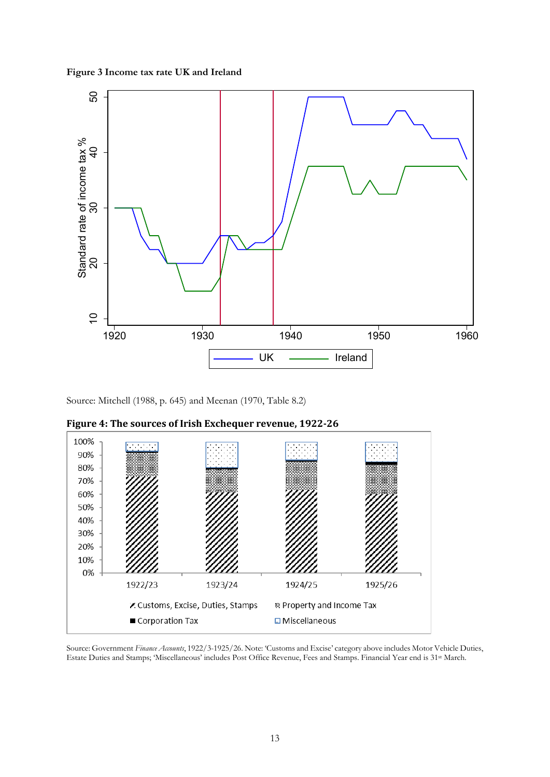**Figure 3 Income tax rate UK and Ireland**



Source: Mitchell (1988, p. 645) and Meenan (1970, Table 8.2)



**Figure 4: The sources of Irish Exchequer revenue, 1922-26**

Source: Government *Finance Accounts*, 1922/3-1925/26. Note: 'Customs and Excise' category above includes Motor Vehicle Duties, Estate Duties and Stamps; 'Miscellaneous' includes Post Office Revenue, Fees and Stamps. Finan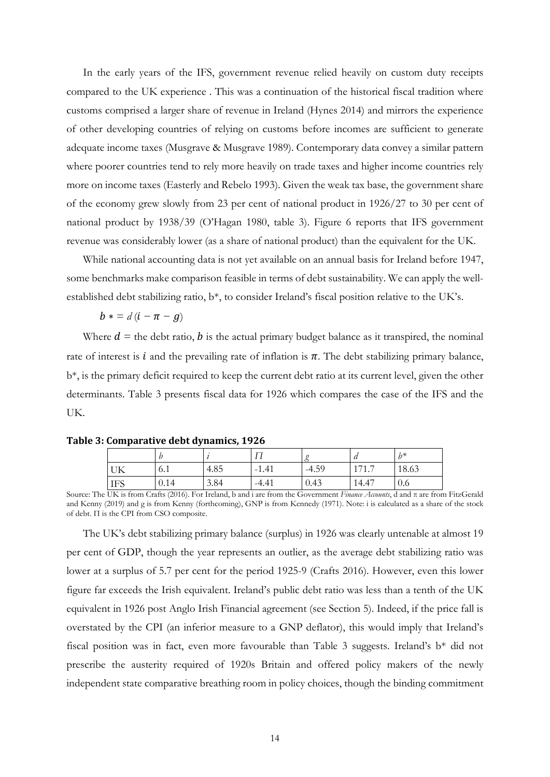In the early years of the IFS, government revenue relied heavily on custom duty receipts compared to the UK experience . This was a continuation of the historical fiscal tradition where customs comprised a larger share of revenue in Ireland (Hynes 2014) and mirrors the experience of other developing countries of relying on customs before incomes are sufficient to generate adequate income taxes (Musgrave & Musgrave 1989). Contemporary data convey a similar pattern where poorer countries tend to rely more heavily on trade taxes and higher income countries rely more on income taxes (Easterly and Rebelo 1993). Given the weak tax base, the government share of the economy grew slowly from 23 per cent of national product in 1926/27 to 30 per cent of national product by 1938/39 (O'Hagan 1980, table 3). Figure 6 reports that IFS government revenue was considerably lower (as a share of national product) than the equivalent for the UK.

While national accounting data is not yet available on an annual basis for Ireland before 1947, some benchmarks make comparison feasible in terms of debt sustainability. We can apply the wellestablished debt stabilizing ratio, b\*, to consider Ireland's fiscal position relative to the UK's.

 $b * = d (i - \pi - g)$ 

Where  $d =$  the debt ratio, b is the actual primary budget balance as it transpired, the nominal rate of interest is  $i$  and the prevailing rate of inflation is  $\pi$ . The debt stabilizing primary balance, b\*, is the primary deficit required to keep the current debt ratio at its current level, given the other determinants. Table 3 presents fiscal data for 1926 which compares the case of the IFS and the UK.

|            |                       |      |         |         | $\mu$            | $h*$  |
|------------|-----------------------|------|---------|---------|------------------|-------|
| UK         | $\overline{A}$<br>0.1 | 4.85 | $-1.41$ | $-4.59$ | 171<br>$\cdot$ 1 | 18.63 |
| <b>IFS</b> | 0.14                  | 3.84 | $-4.41$ | 0.43    | 14.47            | 0.6   |

**Table 3: Comparative debt dynamics, 1926**

Source: The UK is from Crafts (2016). For Ireland, b and i are from the Government *Finance Accounts*, d and π are from FitzGerald and Kenny (2019) and g is from Kenny (forthcoming), GNP is from Kennedy (1971). Note: i is calculated as a share of the stock of debt. Π is the CPI from CSO composite.

The UK's debt stabilizing primary balance (surplus) in 1926 was clearly untenable at almost 19 per cent of GDP, though the year represents an outlier, as the average debt stabilizing ratio was lower at a surplus of 5.7 per cent for the period 1925-9 (Crafts 2016). However, even this lower figure far exceeds the Irish equivalent. Ireland's public debt ratio was less than a tenth of the UK equivalent in 1926 post Anglo Irish Financial agreement (see Section 5). Indeed, if the price fall is overstated by the CPI (an inferior measure to a GNP deflator), this would imply that Ireland's fiscal position was in fact, even more favourable than Table 3 suggests. Ireland's b\* did not prescribe the austerity required of 1920s Britain and offered policy makers of the newly independent state comparative breathing room in policy choices, though the binding commitment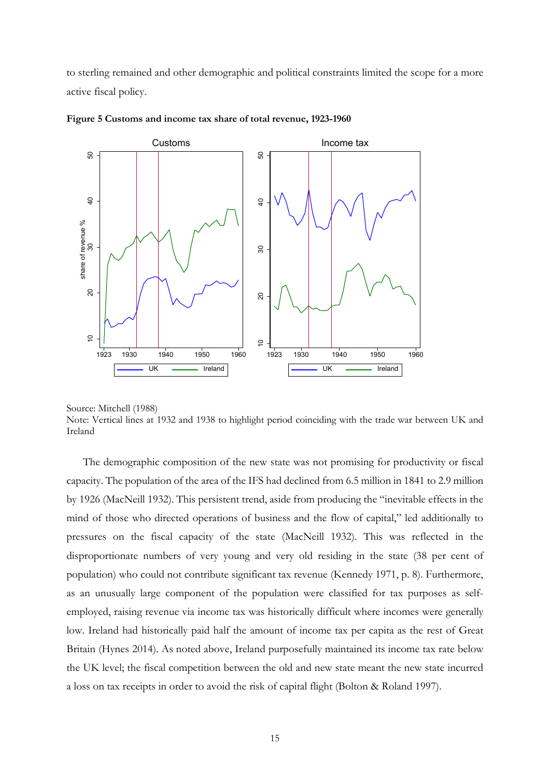to sterling remained and other demographic and political constraints limited the scope for a more active fiscal policy.





Source: Mitchell (1988)

Note: Vertical lines at 1932 and 1938 to highlight period coinciding with the trade war between UK and Ireland

The demographic composition of the new state was not promising for productivity or fiscal capacity. The population of the area of the IFS had declined from 6.5 million in 1841 to 2.9 million by 1926 (MacNeill 1932). This persistent trend, aside from producing the "inevitable effects in the mind of those who directed operations of business and the flow of capital," led additionally to pressures on the fiscal capacity of the state (MacNeill 1932). This was reflected in the disproportionate numbers of very young and very old residing in the state (38 per cent of population) who could not contribute significant tax revenue (Kennedy 1971, p. 8). Furthermore, as an unusually large component of the population were classified for tax purposes as selfemployed, raising revenue via income tax was historically difficult where incomes were generally low. Ireland had historically paid half the amount of income tax per capita as the rest of Great Britain (Hynes 2014). As noted above, Ireland purposefully maintained its income tax rate below the UK level; the fiscal competition between the old and new state meant the new state incurred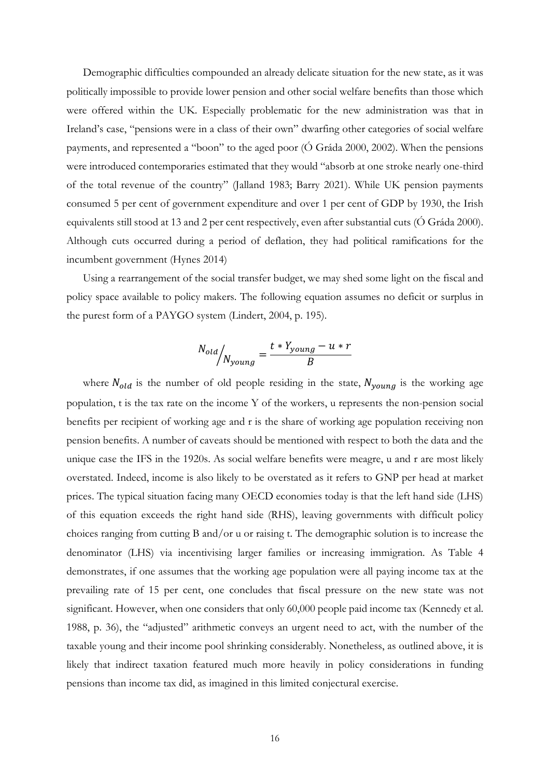Demographic difficulties compounded an already delicate situation for the new state, as it was politically impossible to provide lower pension and other social welfare benefits than those which were offered within the UK. Especially problematic for the new administration was that in Ireland's case, "pensions were in a class of their own" dwarfing other categories of social welfare payments, and represented a "boon" to the aged poor (Ó Gráda 2000, 2002). When the pensions were introduced contemporaries estimated that they would "absorb at one stroke nearly one-third of the total revenue of the country" (Jalland 1983; Barry 2021). While UK pension payments consumed 5 per cent of government expenditure and over 1 per cent of GDP by 1930, the Irish equivalents still stood at 13 and 2 per cent respectively, even after substantial cuts (Ó Gráda 2000). Although cuts occurred during a period of deflation, they had political ramifications for the incumbent government (Hynes 2014)

Using a rearrangement of the social transfer budget, we may shed some light on the fiscal and policy space available to policy makers. The following equation assumes no deficit or surplus in the purest form of a PAYGO system (Lindert, 2004, p. 195).

$$
N_{old} / N_{young} = \frac{t * Y_{young} - u * r}{B}
$$

where  $N_{old}$  is the number of old people residing in the state,  $N_{young}$  is the working age population, t is the tax rate on the income Y of the workers, u represents the non-pension social benefits per recipient of working age and r is the share of working age population receiving non pension benefits. A number of caveats should be mentioned with respect to both the data and the unique case the IFS in the 1920s. As social welfare benefits were meagre, u and r are most likely overstated. Indeed, income is also likely to be overstated as it refers to GNP per head at market prices. The typical situation facing many OECD economies today is that the left hand side (LHS) of this equation exceeds the right hand side (RHS), leaving governments with difficult policy choices ranging from cutting B and/or u or raising t. The demographic solution is to increase the denominator (LHS) via incentivising larger families or increasing immigration. As Table 4 demonstrates, if one assumes that the working age population were all paying income tax at the prevailing rate of 15 per cent, one concludes that fiscal pressure on the new state was not significant. However, when one considers that only 60,000 people paid income tax (Kennedy et al. 1988, p. 36), the "adjusted" arithmetic conveys an urgent need to act, with the number of the taxable young and their income pool shrinking considerably. Nonetheless, as outlined above, it is likely that indirect taxation featured much more heavily in policy considerations in funding pensions than income tax did, as imagined in this limited conjectural exercise.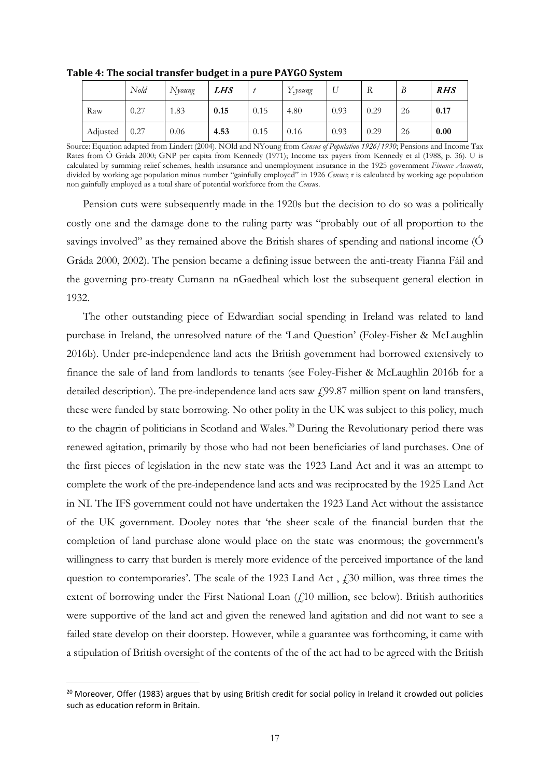|          | Nold | Nyoung | LHS  |      | Y.young | ∪    | R    | B  | <i>RHS</i> |
|----------|------|--------|------|------|---------|------|------|----|------------|
| Raw      | 0.27 | 1.83   | 0.15 | 0.15 | 4.80    | 0.93 | 0.29 | 26 | 0.17       |
| Adjusted | 0.27 | 0.06   | 4.53 | 0.15 | 0.16    | 0.93 | 0.29 | 26 | 0.00       |

**Table 4: The social transfer budget in a pure PAYGO System**

Source: Equation adapted from Lindert (2004). NOld and NYoung from *Census of Population 1926/1930*; Pensions and Income Tax Rates from Ó Gráda 2000; GNP per capita from Kennedy (1971); Income tax payers from Kennedy et al (1988, p. 36). U is calculated by summing relief schemes, health insurance and unemployment insurance in the 1925 government *Finance Accounts*, divided by working age population minus number "gainfully employed" in 1926 *Census*; r is calculated by working age population non gainfully employed as a total share of potential workforce from the *Censu*s.

Pension cuts were subsequently made in the 1920s but the decision to do so was a politically costly one and the damage done to the ruling party was "probably out of all proportion to the savings involved" as they remained above the British shares of spending and national income (Ó Gráda 2000, 2002). The pension became a defining issue between the anti-treaty Fianna Fáil and the governing pro-treaty Cumann na nGaedheal which lost the subsequent general election in 1932.

The other outstanding piece of Edwardian social spending in Ireland was related to land purchase in Ireland, the unresolved nature of the 'Land Question' (Foley-Fisher & McLaughlin 2016b). Under pre-independence land acts the British government had borrowed extensively to finance the sale of land from landlords to tenants (see Foley-Fisher & McLaughlin 2016b for a detailed description). The pre-independence land acts saw  $f(99.87)$  million spent on land transfers, these were funded by state borrowing. No other polity in the UK was subject to this policy, much to the chagrin of politicians in Scotland and Wales.<sup>[20](#page-17-0)</sup> During the Revolutionary period there was renewed agitation, primarily by those who had not been beneficiaries of land purchases. One of the first pieces of legislation in the new state was the 1923 Land Act and it was an attempt to complete the work of the pre-independence land acts and was reciprocated by the 1925 Land Act in NI. The IFS government could not have undertaken the 1923 Land Act without the assistance of the UK government. Dooley notes that 'the sheer scale of the financial burden that the completion of land purchase alone would place on the state was enormous; the government's willingness to carry that burden is merely more evidence of the perceived importance of the land question to contemporaries'. The scale of the 1923 Land Act,  $f<sub>1</sub>30$  million, was three times the extent of borrowing under the First National Loan  $(f,10)$  million, see below). British authorities were supportive of the land act and given the renewed land agitation and did not want to see a failed state develop on their doorstep. However, while a guarantee was forthcoming, it came with a stipulation of British oversight of the contents of the of the act had to be agreed with the British

<span id="page-17-0"></span><sup>&</sup>lt;sup>20</sup> Moreover, Offer (1983) argues that by using British credit for social policy in Ireland it crowded out policies such as education reform in Britain.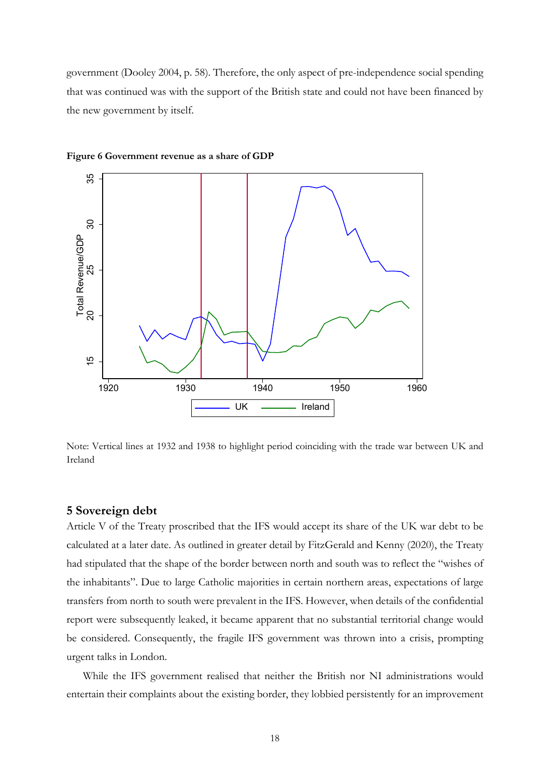government (Dooley 2004, p. 58). Therefore, the only aspect of pre-independence social spending that was continued was with the support of the British state and could not have been financed by the new government by itself.



#### **Figure 6 Government revenue as a share of GDP**

Note: Vertical lines at 1932 and 1938 to highlight period coinciding with the trade war between UK and Ireland

## **5 Sovereign debt**

Article V of the Treaty proscribed that the IFS would accept its share of the UK war debt to be calculated at a later date. As outlined in greater detail by FitzGerald and Kenny (2020), the Treaty had stipulated that the shape of the border between north and south was to reflect the "wishes of the inhabitants". Due to large Catholic majorities in certain northern areas, expectations of large transfers from north to south were prevalent in the IFS. However, when details of the confidential report were subsequently leaked, it became apparent that no substantial territorial change would be considered. Consequently, the fragile IFS government was thrown into a crisis, prompting urgent talks in London.

While the IFS government realised that neither the British nor NI administrations would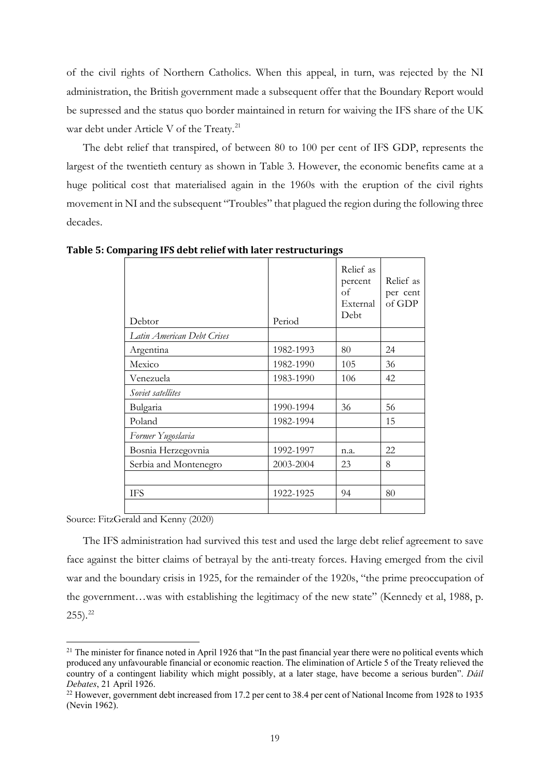of the civil rights of Northern Catholics. When this appeal, in turn, was rejected by the NI administration, the British government made a subsequent offer that the Boundary Report would be supressed and the status quo border maintained in return for waiving the IFS share of the UK war debt under Article V of the Treaty.<sup>[21](#page-19-0)</sup>

The debt relief that transpired, of between 80 to 100 per cent of IFS GDP, represents the largest of the twentieth century as shown in Table 3. However, the economic benefits came at a huge political cost that materialised again in the 1960s with the eruption of the civil rights movement in NI and the subsequent "Troubles" that plagued the region during the following three decades.

| Debtor                     | Period    | Relief as<br>percent<br>of<br>External<br>Debt | Relief as<br>per cent<br>of GDP |
|----------------------------|-----------|------------------------------------------------|---------------------------------|
| Latin American Debt Crises |           |                                                |                                 |
| Argentina                  | 1982-1993 | 80                                             | 24                              |
| Mexico                     | 1982-1990 | 105                                            | 36                              |
| Venezuela                  | 1983-1990 | 106                                            | 42                              |
| Soviet satellites          |           |                                                |                                 |
| Bulgaria                   | 1990-1994 | 36                                             | 56                              |
| Poland                     | 1982-1994 |                                                | 15                              |
| Former Yugoslavia          |           |                                                |                                 |
| Bosnia Herzegovnia         | 1992-1997 | n.a.                                           | 22                              |
| Serbia and Montenegro      | 2003-2004 | 23                                             | 8                               |
|                            |           |                                                |                                 |
| <b>IFS</b>                 | 1922-1925 | 94                                             | 80                              |
|                            |           |                                                |                                 |

**Table 5: Comparing IFS debt relief with later restructurings**

Source: FitzGerald and Kenny (2020)

The IFS administration had survived this test and used the large debt relief agreement to save face against the bitter claims of betrayal by the anti-treaty forces. Having emerged from the civil war and the boundary crisis in 1925, for the remainder of the 1920s, "the prime preoccupation of the government…was with establishing the legitimacy of the new state" (Kennedy et al, 1988, p.  $255$ ).<sup>[22](#page-19-1)</sup>

<span id="page-19-0"></span> $21$  The minister for finance noted in April 1926 that "In the past financial year there were no political events which produced any unfavourable financial or economic reaction. The elimination of Article 5 of the Treaty relieved the country of a contingent liability which might possibly, at a later stage, have become a serious burden". *Dáil Debates*, 21 April 1926.<br><sup>22</sup> However, government debt increased from 17.2 per cent to 38.4 per cent of National Income from 1928 to 1935

<span id="page-19-1"></span><sup>(</sup>Nevin 1962).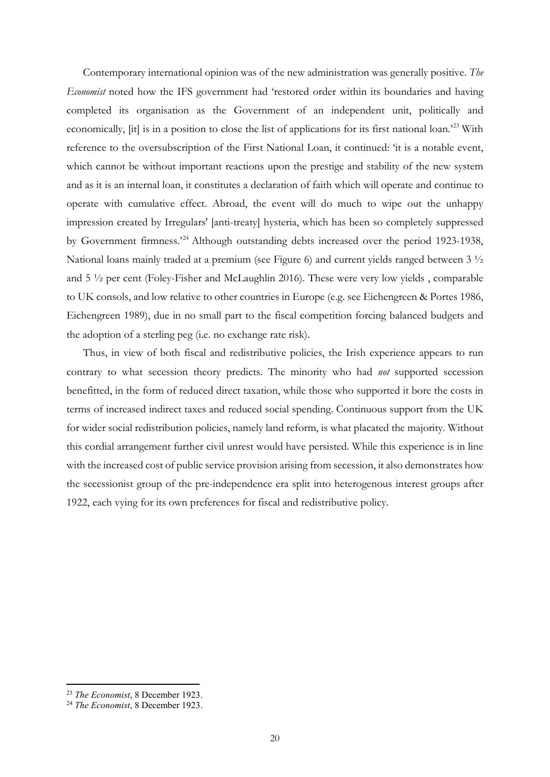Contemporary international opinion was of the new administration was generally positive. *The Economist* noted how the IFS government had 'restored order within its boundaries and having completed its organisation as the Government of an independent unit, politically and economically, [it] is in a position to close the list of applications for its first national loan.'[23](#page-20-0) With reference to the oversubscription of the First National Loan, it continued: 'it is a notable event, which cannot be without important reactions upon the prestige and stability of the new system and as it is an internal loan, it constitutes a declaration of faith which will operate and continue to operate with cumulative effect. Abroad, the event will do much to wipe out the unhappy impression created by Irregulars' [anti-treaty] hysteria, which has been so completely suppressed by Government firmness.'[24](#page-20-1) Although outstanding debts increased over the period 1923-1938, National loans mainly traded at a premium (see Figure 6) and current yields ranged between 3 ½ and 5 ½ per cent (Foley-Fisher and McLaughlin 2016). These were very low yields , comparable to UK consols, and low relative to other countries in Europe (e.g. see Eichengreen & Portes 1986, Eichengreen 1989), due in no small part to the fiscal competition forcing balanced budgets and the adoption of a sterling peg (i.e. no exchange rate risk).

Thus, in view of both fiscal and redistributive policies, the Irish experience appears to run contrary to what secession theory predicts. The minority who had *not* supported secession benefitted, in the form of reduced direct taxation, while those who supported it bore the costs in terms of increased indirect taxes and reduced social spending. Continuous support from the UK for wider social redistribution policies, namely land reform, is what placated the majority. Without this cordial arrangement further civil unrest would have persisted. While this experience is in line with the increased cost of public service provision arising from secession, it also demonstrates how the secessionist group of the pre-independence era split into heterogenous interest groups after 1922, each vying for its own preferences for fiscal and redistributive policy.

<span id="page-20-0"></span><sup>23</sup> *The Economist*, 8 December 1923.

<span id="page-20-1"></span><sup>24</sup> *The Economist*, 8 December 1923.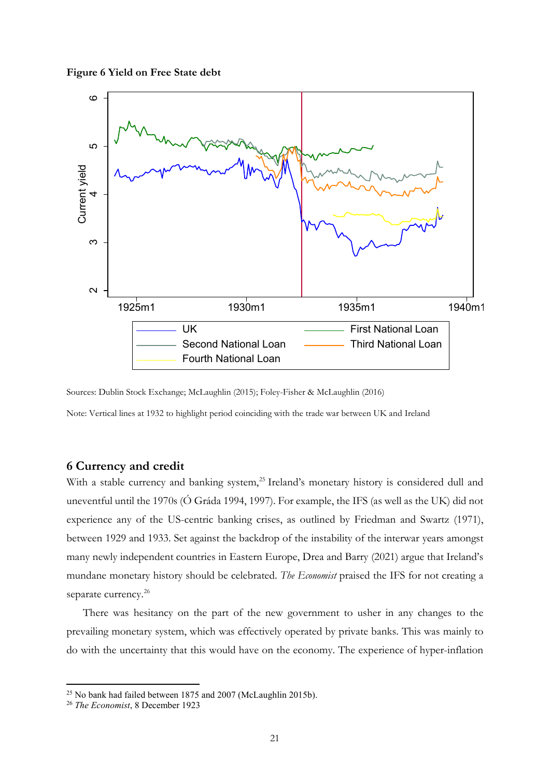**Figure 6 Yield on Free State debt**



Sources: Dublin Stock Exchange; McLaughlin (2015); Foley-Fisher & McLaughlin (2016)

Note: Vertical lines at 1932 to highlight period coinciding with the trade war between UK and Ireland

## **6 Currency and credit**

With a stable currency and banking system,<sup>[25](#page-21-0)</sup> Ireland's monetary history is considered dull and uneventful until the 1970s (Ó Gráda 1994, 1997). For example, the IFS (as well as the UK) did not experience any of the US-centric banking crises, as outlined by Friedman and Swartz (1971), between 1929 and 1933. Set against the backdrop of the instability of the interwar years amongst many newly independent countries in Eastern Europe, Drea and Barry (2021) argue that Ireland's mundane monetary history should be celebrated. *The Economist* praised the IFS for not creating a separate currency.<sup>[26](#page-21-1)</sup>

There was hesitancy on the part of the new government to usher in any changes to the prevailing monetary system, which was effectively operated by private banks. This was mainly to do with the uncertainty that this would have on the economy. The experience of hyper-inflation

<span id="page-21-0"></span><sup>25</sup> No bank had failed between 1875 and 2007 (McLaughlin 2015b).

<span id="page-21-1"></span><sup>26</sup> *The Economist*, 8 December 1923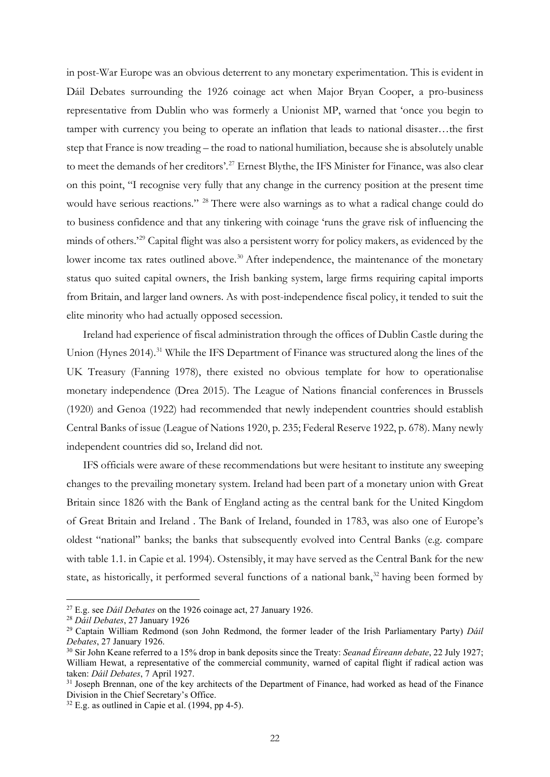in post-War Europe was an obvious deterrent to any monetary experimentation. This is evident in Dáil Debates surrounding the 1926 coinage act when Major Bryan Cooper, a pro-business representative from Dublin who was formerly a Unionist MP, warned that 'once you begin to tamper with currency you being to operate an inflation that leads to national disaster…the first step that France is now treading – the road to national humiliation, because she is absolutely unable to meet the demands of her creditors'.<sup>[27](#page-22-0)</sup> Ernest Blythe, the IFS Minister for Finance, was also clear on this point, "I recognise very fully that any change in the currency position at the present time would have serious reactions." [28](#page-22-1) There were also warnings as to what a radical change could do to business confidence and that any tinkering with coinage 'runs the grave risk of influencing the minds of others.<sup>[29](#page-22-2)</sup> Capital flight was also a persistent worry for policy makers, as evidenced by the lower income tax rates outlined above.<sup>[30](#page-22-3)</sup> After independence, the maintenance of the monetary status quo suited capital owners, the Irish banking system, large firms requiring capital imports from Britain, and larger land owners. As with post-independence fiscal policy, it tended to suit the elite minority who had actually opposed secession.

Ireland had experience of fiscal administration through the offices of Dublin Castle during the Union (Hynes 2014).<sup>[31](#page-22-4)</sup> While the IFS Department of Finance was structured along the lines of the UK Treasury (Fanning 1978), there existed no obvious template for how to operationalise monetary independence (Drea 2015). The League of Nations financial conferences in Brussels (1920) and Genoa (1922) had recommended that newly independent countries should establish Central Banks of issue (League of Nations 1920, p. 235; Federal Reserve 1922, p. 678). Many newly independent countries did so, Ireland did not.

IFS officials were aware of these recommendations but were hesitant to institute any sweeping changes to the prevailing monetary system. Ireland had been part of a monetary union with Great Britain since 1826 with the Bank of England acting as the central bank for the United Kingdom of Great Britain and Ireland . The Bank of Ireland, founded in 1783, was also one of Europe's oldest "national" banks; the banks that subsequently evolved into Central Banks (e.g. compare with table 1.1. in Capie et al. 1994). Ostensibly, it may have served as the Central Bank for the new state, as historically, it performed several functions of a national bank,<sup>[32](#page-22-5)</sup> having been formed by

<span id="page-22-0"></span><sup>27</sup> E.g. see *Dáil Debates* on the 1926 coinage act, 27 January 1926.

<span id="page-22-1"></span><sup>28</sup> *Dáil Debates*, 27 January 1926

<span id="page-22-2"></span><sup>29</sup> Captain William Redmond (son John Redmond, the former leader of the Irish Parliamentary Party) *Dáil Debates*, 27 January 1926.

<span id="page-22-3"></span><sup>30</sup> Sir John Keane referred to a 15% drop in bank deposits since the Treaty: *Seanad Éireann debate*, 22 July 1927; William Hewat, a representative of the commercial community, warned of capital flight if radical action was taken: *Dáil Debates*, 7 April 1927.

<span id="page-22-4"></span><sup>&</sup>lt;sup>31</sup> Joseph Brennan, one of the key architects of the Department of Finance, had worked as head of the Finance Division in the Chief Secretary's Office.

<span id="page-22-5"></span> $32$  E.g. as outlined in Capie et al. (1994, pp 4-5).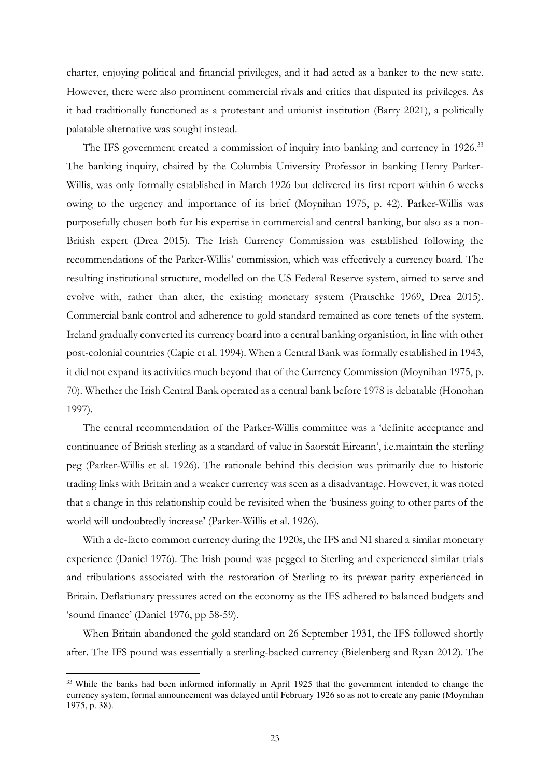charter, enjoying political and financial privileges, and it had acted as a banker to the new state. However, there were also prominent commercial rivals and critics that disputed its privileges. As it had traditionally functioned as a protestant and unionist institution (Barry 2021), a politically palatable alternative was sought instead.

The IFS government created a commission of inquiry into banking and currency in 1926.<sup>[33](#page-23-0)</sup> The banking inquiry, chaired by the Columbia University Professor in banking Henry Parker-Willis, was only formally established in March 1926 but delivered its first report within 6 weeks owing to the urgency and importance of its brief (Moynihan 1975, p. 42). Parker-Willis was purposefully chosen both for his expertise in commercial and central banking, but also as a non-British expert (Drea 2015). The Irish Currency Commission was established following the recommendations of the Parker-Willis' commission, which was effectively a currency board. The resulting institutional structure, modelled on the US Federal Reserve system, aimed to serve and evolve with, rather than alter, the existing monetary system (Pratschke 1969, Drea 2015). Commercial bank control and adherence to gold standard remained as core tenets of the system. Ireland gradually converted its currency board into a central banking organistion, in line with other post-colonial countries (Capie et al. 1994). When a Central Bank was formally established in 1943, it did not expand its activities much beyond that of the Currency Commission (Moynihan 1975, p. 70). Whether the Irish Central Bank operated as a central bank before 1978 is debatable (Honohan 1997).

The central recommendation of the Parker-Willis committee was a 'definite acceptance and continuance of British sterling as a standard of value in Saorstát Eireann', i.e.maintain the sterling peg (Parker-Willis et al. 1926). The rationale behind this decision was primarily due to historic trading links with Britain and a weaker currency was seen as a disadvantage. However, it was noted that a change in this relationship could be revisited when the 'business going to other parts of the world will undoubtedly increase' (Parker-Willis et al. 1926).

With a de-facto common currency during the 1920s, the IFS and NI shared a similar monetary experience (Daniel 1976). The Irish pound was pegged to Sterling and experienced similar trials and tribulations associated with the restoration of Sterling to its prewar parity experienced in Britain. Deflationary pressures acted on the economy as the IFS adhered to balanced budgets and 'sound finance' (Daniel 1976, pp 58-59).

When Britain abandoned the gold standard on 26 September 1931, the IFS followed shortly after. The IFS pound was essentially a sterling-backed currency (Bielenberg and Ryan 2012). The

<span id="page-23-0"></span><sup>&</sup>lt;sup>33</sup> While the banks had been informed informally in April 1925 that the government intended to change the currency system, formal announcement was delayed until February 1926 so as not to create any panic (Moynihan 1975, p. 38).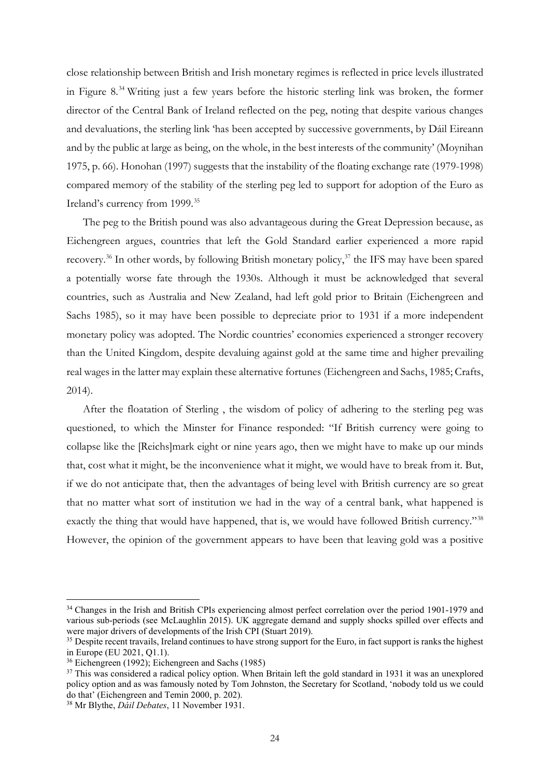close relationship between British and Irish monetary regimes is reflected in price levels illustrated in Figure 8[.34](#page-24-0) Writing just a few years before the historic sterling link was broken, the former director of the Central Bank of Ireland reflected on the peg, noting that despite various changes and devaluations, the sterling link 'has been accepted by successive governments, by Dáil Eireann and by the public at large as being, on the whole, in the best interests of the community' (Moynihan 1975, p. 66). Honohan (1997) suggests that the instability of the floating exchange rate (1979-1998) compared memory of the stability of the sterling peg led to support for adoption of the Euro as Ireland's currency from 1999.<sup>[35](#page-24-1)</sup>

The peg to the British pound was also advantageous during the Great Depression because, as Eichengreen argues, countries that left the Gold Standard earlier experienced a more rapid recovery.<sup>[36](#page-24-2)</sup> In other words, by following British monetary policy,<sup>[37](#page-24-3)</sup> the IFS may have been spared a potentially worse fate through the 1930s. Although it must be acknowledged that several countries, such as Australia and New Zealand, had left gold prior to Britain (Eichengreen and Sachs 1985), so it may have been possible to depreciate prior to 1931 if a more independent monetary policy was adopted. The Nordic countries' economies experienced a stronger recovery than the United Kingdom, despite devaluing against gold at the same time and higher prevailing real wages in the latter may explain these alternative fortunes (Eichengreen and Sachs, 1985; Crafts, 2014).

After the floatation of Sterling , the wisdom of policy of adhering to the sterling peg was questioned, to which the Minster for Finance responded: "If British currency were going to collapse like the [Reichs]mark eight or nine years ago, then we might have to make up our minds that, cost what it might, be the inconvenience what it might, we would have to break from it. But, if we do not anticipate that, then the advantages of being level with British currency are so great that no matter what sort of institution we had in the way of a central bank, what happened is exactly the thing that would have happened, that is, we would have followed British currency."<sup>[38](#page-24-4)</sup> However, the opinion of the government appears to have been that leaving gold was a positive

<span id="page-24-0"></span><sup>&</sup>lt;sup>34</sup> Changes in the Irish and British CPIs experiencing almost perfect correlation over the period 1901-1979 and various sub-periods (see McLaughlin 2015). UK aggregate demand and supply shocks spilled over effects and were major drivers of developments of the Irish CPI (Stuart 2019).

<span id="page-24-1"></span><sup>&</sup>lt;sup>35</sup> Despite recent travails, Ireland continues to have strong support for the Euro, in fact support is ranks the highest in Europe (EU 2021, Q1.1).

<span id="page-24-2"></span><sup>36</sup> Eichengreen (1992); Eichengreen and Sachs (1985)

<span id="page-24-3"></span><sup>&</sup>lt;sup>37</sup> This was considered a radical policy option. When Britain left the gold standard in 1931 it was an unexplored policy option and as was famously noted by Tom Johnston, the Secretary for Scotland, 'nobody told us we could do that' (Eichengreen and Temin 2000, p. 202).

<span id="page-24-4"></span><sup>38</sup> Mr Blythe, *Dáil Debates*, 11 November 1931.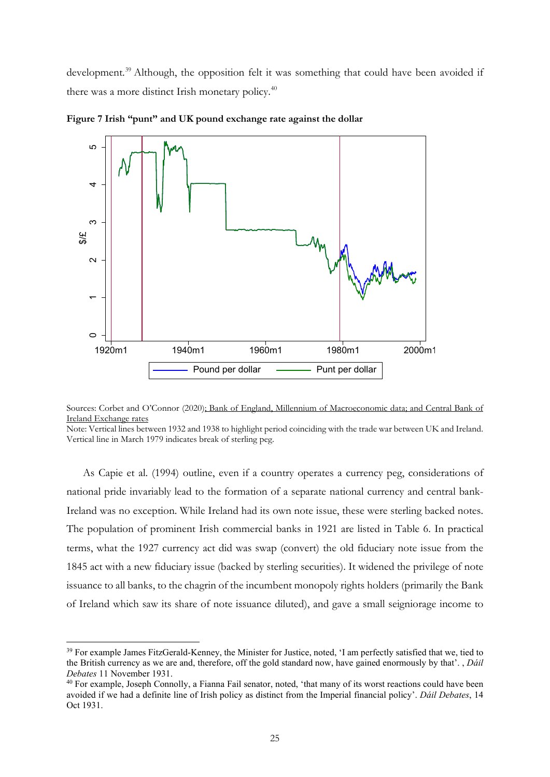development.<sup>[39](#page-25-0)</sup> Although, the opposition felt it was something that could have been avoided if there was a more distinct Irish monetary policy.<sup>40</sup>



**Figure 7 Irish "punt" and UK pound exchange rate against the dollar**

Note: Vertical lines between 1932 and 1938 to highlight period coinciding with the trade war between UK and Ireland. Vertical line in March 1979 indicates break of sterling peg.

As Capie et al. (1994) outline, even if a country operates a currency peg, considerations of national pride invariably lead to the formation of a separate national currency and central bank-Ireland was no exception. While Ireland had its own note issue, these were sterling backed notes. The population of prominent Irish commercial banks in 1921 are listed in Table 6. In practical terms, what the 1927 currency act did was swap (convert) the old fiduciary note issue from the 1845 act with a new fiduciary issue (backed by sterling securities). It widened the privilege of note issuance to all banks, to the chagrin of the incumbent monopoly rights holders (primarily the Bank of Ireland which saw its share of note issuance diluted), and gave a small seigniorage income to

Sources: Corbet and O'Connor (2020); [Bank of England, Millennium of Macroeconomic data; and](https://www.centralbank.ie/statistics/interest-rates-exchange-rates/exchange-rates) Central Bank of [Ireland Exchange rates](https://www.centralbank.ie/statistics/interest-rates-exchange-rates/exchange-rates)

<span id="page-25-0"></span><sup>&</sup>lt;sup>39</sup> For example James FitzGerald-Kenney, the Minister for Justice, noted, 'I am perfectly satisfied that we, tied to the British currency as we are and, therefore, off the gold standard now, have gained enormously by that'. , *Dáil Debates* 11 November 1931.

<span id="page-25-1"></span> $40$  For example, Joseph Connolly, a Fianna Fail senator, noted, 'that many of its worst reactions could have been avoided if we had a definite line of Irish policy as distinct from the Imperial financial policy'. *Dáil Debates*, 14 Oct 1931.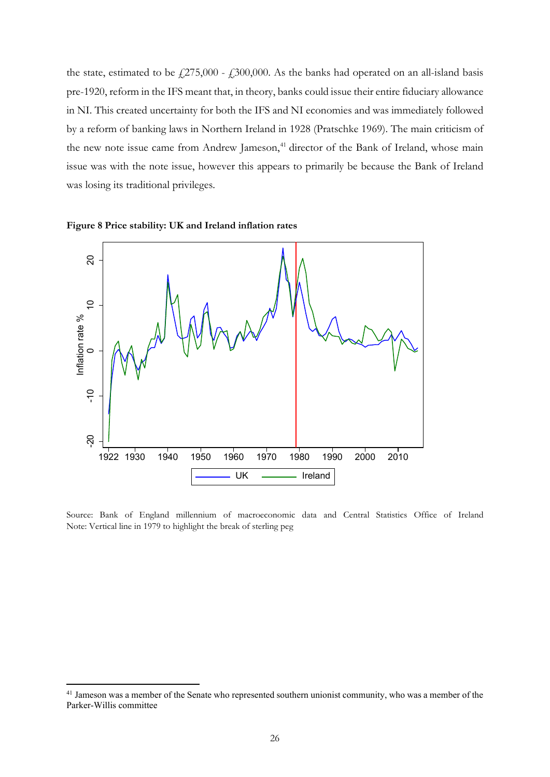the state, estimated to be  $f(275,000 - f(300,000)$ . As the banks had operated on an all-island basis pre-1920, reform in the IFS meant that, in theory, banks could issue their entire fiduciary allowance in NI. This created uncertainty for both the IFS and NI economies and was immediately followed by a reform of banking laws in Northern Ireland in 1928 (Pratschke 1969). The main criticism of the new note issue came from Andrew Jameson,<sup>[41](#page-26-0)</sup> director of the Bank of Ireland, whose main issue was with the note issue, however this appears to primarily be because the Bank of Ireland was losing its traditional privileges.





Source: Bank of England millennium of macroeconomic data and Central Statistics Office of Ireland Note: Vertical line in 1979 to highlight the break of sterling peg

<span id="page-26-0"></span><sup>&</sup>lt;sup>41</sup> Jameson was a member of the Senate who represented southern unionist community, who was a member of the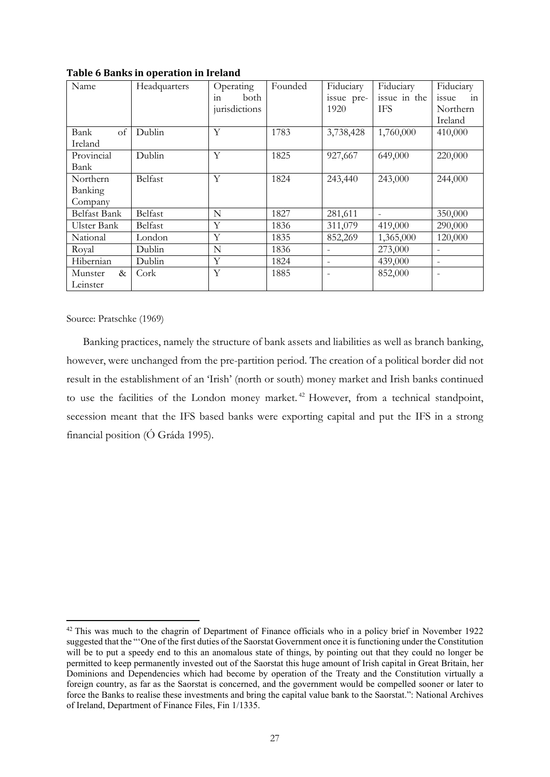| Name         | Headquarters |               | Founded | Fiduciary  | Fiduciary    | Fiduciary                |
|--------------|--------------|---------------|---------|------------|--------------|--------------------------|
|              |              | both<br>111   |         | issue pre- | issue in the | issue<br>in              |
|              |              | jurisdictions |         | 1920       | <b>IFS</b>   | Northern                 |
|              |              |               |         |            |              | Ireland                  |
| of<br>Bank   | Dublin       | Y             | 1783    | 3,738,428  | 1,760,000    | 410,000                  |
| Ireland      |              |               |         |            |              |                          |
| Provincial   | Dublin       | Y             | 1825    | 927,667    | 649,000      | 220,000                  |
| Bank         |              |               |         |            |              |                          |
| Northern     | Belfast      | Y             | 1824    | 243,440    | 243,000      | 244,000                  |
| Banking      |              |               |         |            |              |                          |
| Company      |              |               |         |            |              |                          |
| Belfast Bank | Belfast      | N             | 1827    | 281,611    |              | 350,000                  |
| Ulster Bank  | Belfast      | Y             | 1836    | 311,079    | 419,000      | 290,000                  |
| National     | London       | Y             | 1835    | 852,269    | 1,365,000    | 120,000                  |
| Royal        | Dublin       | N             | 1836    |            | 273,000      | $\overline{\phantom{a}}$ |
| Hibernian    | Dublin       | Y             | 1824    | -          | 439,000      | $\overline{\phantom{a}}$ |
| Munster<br>& | Cork         | Y             | 1885    |            | 852,000      |                          |
| Leinster     |              |               |         |            |              |                          |

**Table 6 Banks in operation in Ireland**

Source: Pratschke (1969)

Banking practices, namely the structure of bank assets and liabilities as well as branch banking, however, were unchanged from the pre-partition period. The creation of a political border did not result in the establishment of an 'Irish' (north or south) money market and Irish banks continued to use the facilities of the London money market. [42](#page-27-0) However, from a technical standpoint, secession meant that the IFS based banks were exporting capital and put the IFS in a strong financial position (Ó Gráda 1995).

<span id="page-27-0"></span><sup>&</sup>lt;sup>42</sup> This was much to the chagrin of Department of Finance officials who in a policy brief in November 1922 suggested that the "'One of the first duties of the Saorstat Government once it is functioning under the Constitution will be to put a speedy end to this an anomalous state of things, by pointing out that they could no longer be permitted to keep permanently invested out of the Saorstat this huge amount of Irish capital in Great Britain, her Dominions and Dependencies which had become by operation of the Treaty and the Constitution virtually a foreign country, as far as the Saorstat is concerned, and the government would be compelled sooner or later to force the Banks to realise these investments and bring the capital value bank to the Saorstat.": National Archives of Ireland, Department of Finance Files, Fin 1/1335.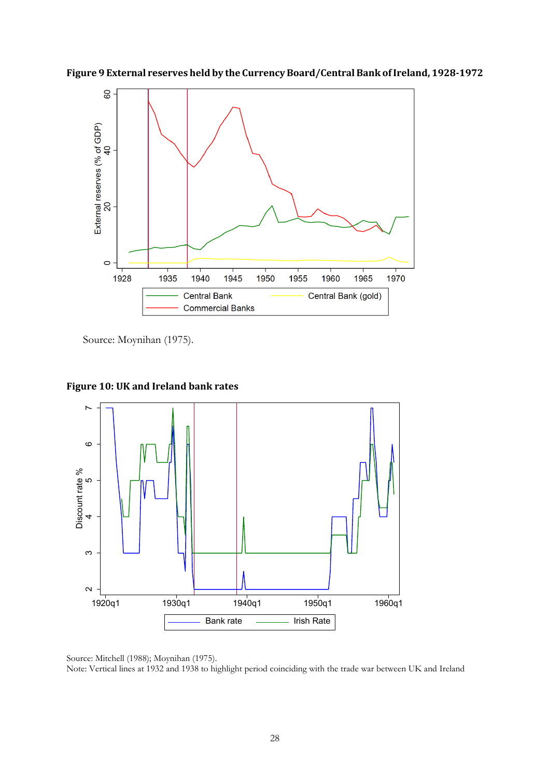



Source: Moynihan (1975).



**Figure 10: UK and Ireland bank rates**

Source: Mitchell (1988); Moynihan (1975). Note: Vertical lines at 1932 and 1938 to highlight period coinciding with the trade war between UK and Ireland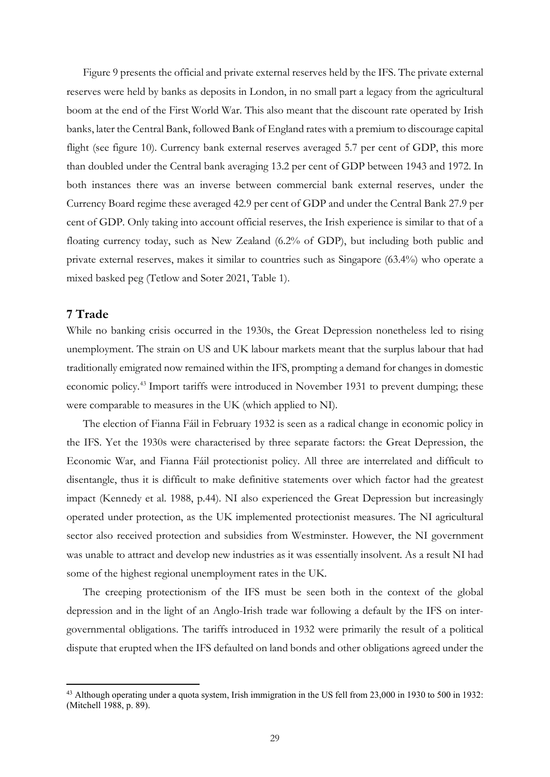Figure 9 presents the official and private external reserves held by the IFS. The private external reserves were held by banks as deposits in London, in no small part a legacy from the agricultural boom at the end of the First World War. This also meant that the discount rate operated by Irish banks, later the Central Bank, followed Bank of England rates with a premium to discourage capital flight (see figure 10). Currency bank external reserves averaged 5.7 per cent of GDP, this more than doubled under the Central bank averaging 13.2 per cent of GDP between 1943 and 1972. In both instances there was an inverse between commercial bank external reserves, under the Currency Board regime these averaged 42.9 per cent of GDP and under the Central Bank 27.9 per cent of GDP. Only taking into account official reserves, the Irish experience is similar to that of a floating currency today, such as New Zealand (6.2% of GDP), but including both public and private external reserves, makes it similar to countries such as Singapore (63.4%) who operate a mixed basked peg (Tetlow and Soter 2021, Table 1).

## **7 Trade**

While no banking crisis occurred in the 1930s, the Great Depression nonetheless led to rising unemployment. The strain on US and UK labour markets meant that the surplus labour that had traditionally emigrated now remained within the IFS, prompting a demand for changes in domestic economic policy.[43](#page-29-0) Import tariffs were introduced in November 1931 to prevent dumping; these were comparable to measures in the UK (which applied to NI).

The election of Fianna Fáil in February 1932 is seen as a radical change in economic policy in the IFS. Yet the 1930s were characterised by three separate factors: the Great Depression, the Economic War, and Fianna Fáil protectionist policy. All three are interrelated and difficult to disentangle, thus it is difficult to make definitive statements over which factor had the greatest impact (Kennedy et al. 1988, p.44). NI also experienced the Great Depression but increasingly operated under protection, as the UK implemented protectionist measures. The NI agricultural sector also received protection and subsidies from Westminster. However, the NI government was unable to attract and develop new industries as it was essentially insolvent. As a result NI had some of the highest regional unemployment rates in the UK.

The creeping protectionism of the IFS must be seen both in the context of the global depression and in the light of an Anglo-Irish trade war following a default by the IFS on intergovernmental obligations. The tariffs introduced in 1932 were primarily the result of a political dispute that erupted when the IFS defaulted on land bonds and other obligations agreed under the

<span id="page-29-0"></span><sup>&</sup>lt;sup>43</sup> Although operating under a quota system, Irish immigration in the US fell from 23,000 in 1930 to 500 in 1932: (Mitchell 1988, p. 89).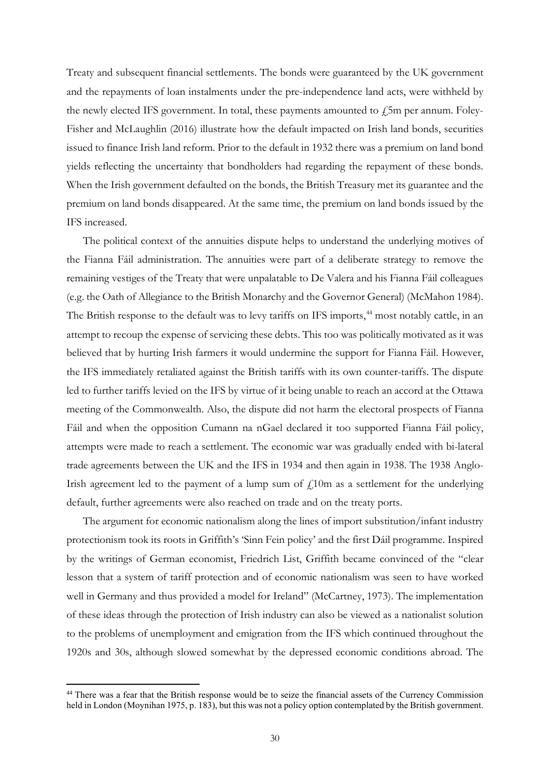Treaty and subsequent financial settlements. The bonds were guaranteed by the UK government and the repayments of loan instalments under the pre-independence land acts, were withheld by the newly elected IFS government. In total, these payments amounted to  $\angle$ 5m per annum. Foley-Fisher and McLaughlin (2016) illustrate how the default impacted on Irish land bonds, securities issued to finance Irish land reform. Prior to the default in 1932 there was a premium on land bond yields reflecting the uncertainty that bondholders had regarding the repayment of these bonds. When the Irish government defaulted on the bonds, the British Treasury met its guarantee and the premium on land bonds disappeared. At the same time, the premium on land bonds issued by the IFS increased.

The political context of the annuities dispute helps to understand the underlying motives of the Fianna Fáil administration. The annuities were part of a deliberate strategy to remove the remaining vestiges of the Treaty that were unpalatable to De Valera and his Fianna Fáil colleagues (e.g. the Oath of Allegiance to the British Monarchy and the Governor General) (McMahon 1984). The British response to the default was to levy tariffs on IFS imports,<sup>[44](#page-30-0)</sup> most notably cattle, in an attempt to recoup the expense of servicing these debts. This too was politically motivated as it was believed that by hurting Irish farmers it would undermine the support for Fianna Fáil. However, the IFS immediately retaliated against the British tariffs with its own counter-tariffs. The dispute led to further tariffs levied on the IFS by virtue of it being unable to reach an accord at the Ottawa meeting of the Commonwealth. Also, the dispute did not harm the electoral prospects of Fianna Fáil and when the opposition Cumann na nGael declared it too supported Fianna Fáil policy, attempts were made to reach a settlement. The economic war was gradually ended with bi-lateral trade agreements between the UK and the IFS in 1934 and then again in 1938. The 1938 Anglo-Irish agreement led to the payment of a lump sum of  $\ell$ 10m as a settlement for the underlying default, further agreements were also reached on trade and on the treaty ports.

The argument for economic nationalism along the lines of import substitution/infant industry protectionism took its roots in Griffith's 'Sinn Fein policy' and the first Dáil programme. Inspired by the writings of German economist, Friedrich List, Griffith became convinced of the "clear lesson that a system of tariff protection and of economic nationalism was seen to have worked well in Germany and thus provided a model for Ireland" (McCartney, 1973). The implementation of these ideas through the protection of Irish industry can also be viewed as a nationalist solution to the problems of unemployment and emigration from the IFS which continued throughout the 1920s and 30s, although slowed somewhat by the depressed economic conditions abroad. The

<span id="page-30-0"></span><sup>&</sup>lt;sup>44</sup> There was a fear that the British response would be to seize the financial assets of the Currency Commission held in London (Moynihan 1975, p. 183), but this was not a policy option contemplated by the British government.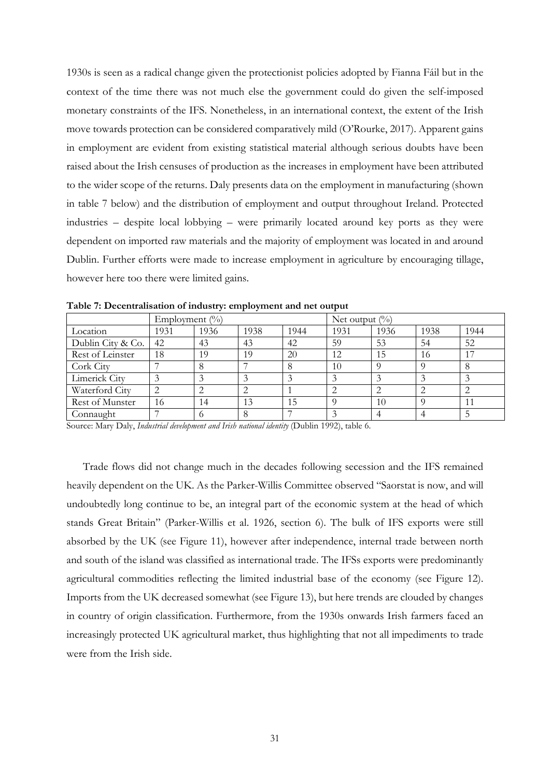1930s is seen as a radical change given the protectionist policies adopted by Fianna Fáil but in the context of the time there was not much else the government could do given the self-imposed monetary constraints of the IFS. Nonetheless, in an international context, the extent of the Irish move towards protection can be considered comparatively mild (O'Rourke, 2017). Apparent gains in employment are evident from existing statistical material although serious doubts have been raised about the Irish censuses of production as the increases in employment have been attributed to the wider scope of the returns. Daly presents data on the employment in manufacturing (shown in table 7 below) and the distribution of employment and output throughout Ireland. Protected industries – despite local lobbying – were primarily located around key ports as they were dependent on imported raw materials and the majority of employment was located in and around Dublin. Further efforts were made to increase employment in agriculture by encouraging tillage, however here too there were limited gains.

|                   | Employment $(\% )$ |      |      | Net output $(\%)$ |      |      |      |      |
|-------------------|--------------------|------|------|-------------------|------|------|------|------|
| Location          | 1931               | 1936 | 1938 | 1944              | 1931 | 1936 | 1938 | 1944 |
| Dublin City & Co. | 42                 | 43   | 43   | 42                | 59   | 53   | 54   | 52   |
| Rest of Leinster  | 18                 | 19   | 19   | 20                | 12   | 15   | 16   |      |
| Cork City         |                    |      |      | 8                 | 10   |      |      |      |
| Limerick City     |                    |      |      |                   |      |      |      |      |
| Waterford City    |                    |      |      |                   |      |      |      |      |
| Rest of Munster   | 16                 | 14   | 13   | 15                |      | 10   |      |      |
| Connaught         |                    |      |      |                   |      |      |      |      |

**Table 7: Decentralisation of industry: employment and net output**

Source: Mary Daly, *Industrial development and Irish national identity* (Dublin 1992), table 6.

Trade flows did not change much in the decades following secession and the IFS remained heavily dependent on the UK. As the Parker-Willis Committee observed "Saorstat is now, and will undoubtedly long continue to be, an integral part of the economic system at the head of which stands Great Britain" (Parker-Willis et al. 1926, section 6). The bulk of IFS exports were still absorbed by the UK (see Figure 11), however after independence, internal trade between north and south of the island was classified as international trade. The IFSs exports were predominantly agricultural commodities reflecting the limited industrial base of the economy (see Figure 12). Imports from the UK decreased somewhat (see Figure 13), but here trends are clouded by changes in country of origin classification. Furthermore, from the 1930s onwards Irish farmers faced an increasingly protected UK agricultural market, thus highlighting that not all impediments to trade were from the Irish side.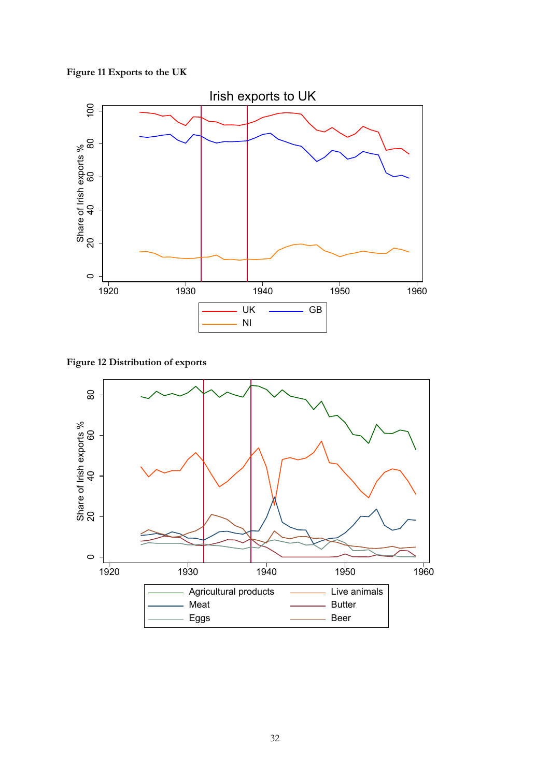## **Figure 11 Exports to the UK**



**Figure 12 Distribution of exports**

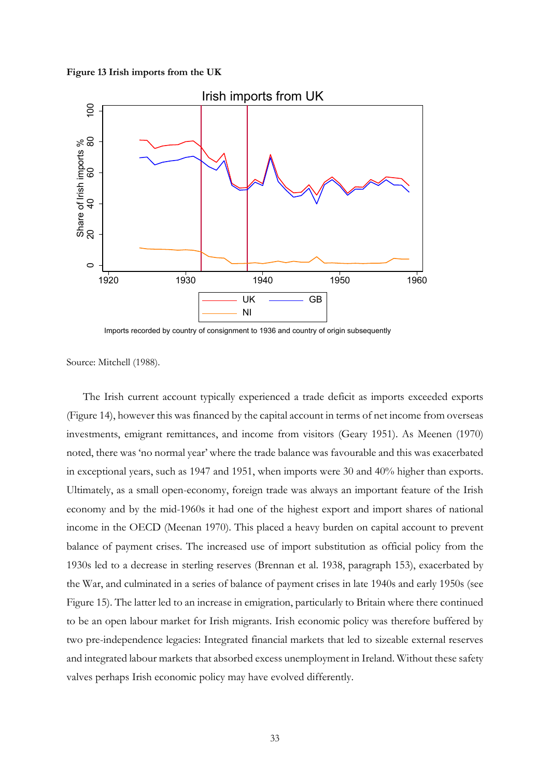#### **Figure 13 Irish imports from the UK**



Imports recorded by country of consignment to 1936 and country of origin subsequently

Source: Mitchell (1988).

The Irish current account typically experienced a trade deficit as imports exceeded exports (Figure 14), however this was financed by the capital account in terms of net income from overseas investments, emigrant remittances, and income from visitors (Geary 1951). As Meenen (1970) noted, there was 'no normal year' where the trade balance was favourable and this was exacerbated in exceptional years, such as 1947 and 1951, when imports were 30 and 40% higher than exports. Ultimately, as a small open-economy, foreign trade was always an important feature of the Irish economy and by the mid-1960s it had one of the highest export and import shares of national income in the OECD (Meenan 1970). This placed a heavy burden on capital account to prevent balance of payment crises. The increased use of import substitution as official policy from the 1930s led to a decrease in sterling reserves (Brennan et al. 1938, paragraph 153), exacerbated by the War, and culminated in a series of balance of payment crises in late 1940s and early 1950s (see Figure 15). The latter led to an increase in emigration, particularly to Britain where there continued to be an open labour market for Irish migrants. Irish economic policy was therefore buffered by two pre-independence legacies: Integrated financial markets that led to sizeable external reserves and integrated labour markets that absorbed excess unemployment in Ireland. Without these safety valves perhaps Irish economic policy may have evolved differently.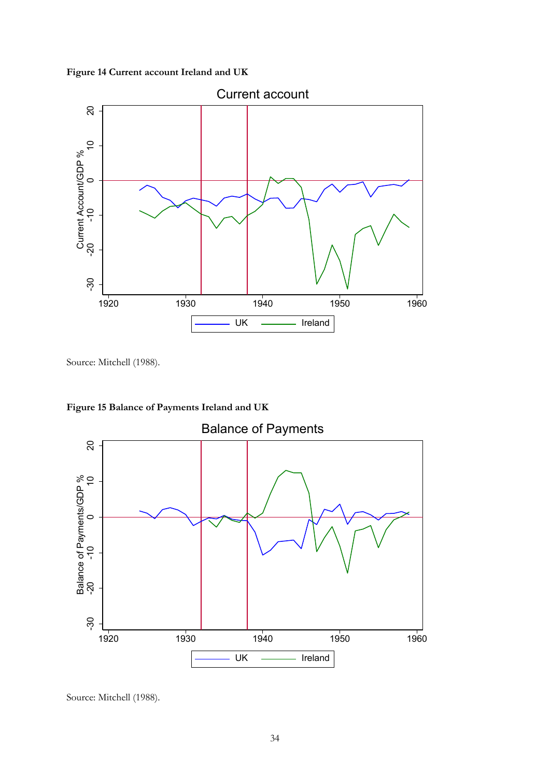**Figure 14 Current account Ireland and UK**



Source: Mitchell (1988).



**Figure 15 Balance of Payments Ireland and UK**

Source: Mitchell (1988).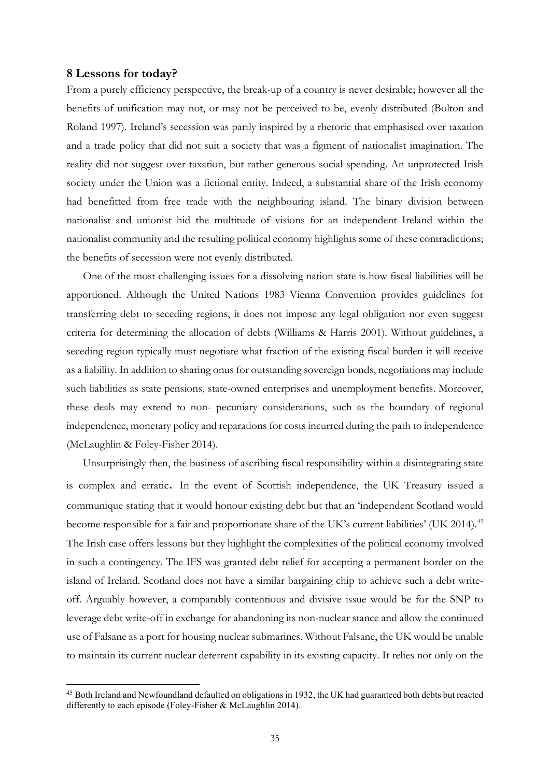## **8 Lessons for today?**

From a purely efficiency perspective, the break-up of a country is never desirable; however all the benefits of unification may not, or may not be perceived to be, evenly distributed (Bolton and Roland 1997). Ireland's secession was partly inspired by a rhetoric that emphasised over taxation and a trade policy that did not suit a society that was a figment of nationalist imagination. The reality did not suggest over taxation, but rather generous social spending. An unprotected Irish society under the Union was a fictional entity. Indeed, a substantial share of the Irish economy had benefitted from free trade with the neighbouring island. The binary division between nationalist and unionist hid the multitude of visions for an independent Ireland within the nationalist community and the resulting political economy highlights some of these contradictions; the benefits of secession were not evenly distributed.

One of the most challenging issues for a dissolving nation state is how fiscal liabilities will be apportioned. Although the United Nations 1983 Vienna Convention provides guidelines for transferring debt to seceding regions, it does not impose any legal obligation nor even suggest criteria for determining the allocation of debts (Williams & Harris 2001). Without guidelines, a seceding region typically must negotiate what fraction of the existing fiscal burden it will receive as a liability. In addition to sharing onus for outstanding sovereign bonds, negotiations may include such liabilities as state pensions, state-owned enterprises and unemployment benefits. Moreover, these deals may extend to non- pecuniary considerations, such as the boundary of regional independence, monetary policy and reparations for costs incurred during the path to independence (McLaughlin & Foley-Fisher 2014).

Unsurprisingly then, the business of ascribing fiscal responsibility within a disintegrating state is complex and erratic. In the event of Scottish independence, the UK Treasury issued a communique stating that it would honour existing debt but that an 'independent Scotland would become responsible for a fair and proportionate share of the UK's current liabilities' (UK 2014).<sup>[45](#page-35-0)</sup> The Irish case offers lessons but they highlight the complexities of the political economy involved in such a contingency. The IFS was granted debt relief for accepting a permanent border on the island of Ireland. Scotland does not have a similar bargaining chip to achieve such a debt writeoff. Arguably however, a comparably contentious and divisive issue would be for the SNP to leverage debt write-off in exchange for abandoning its non-nuclear stance and allow the continued use of Falsane as a port for housing nuclear submarines. Without Falsane, the UK would be unable to maintain its current nuclear deterrent capability in its existing capacity. It relies not only on the

<span id="page-35-0"></span><sup>&</sup>lt;sup>45</sup> Both Ireland and Newfoundland defaulted on obligations in 1932, the UK had guaranteed both debts but reacted differently to each episode (Foley-Fisher & McLaughlin 2014).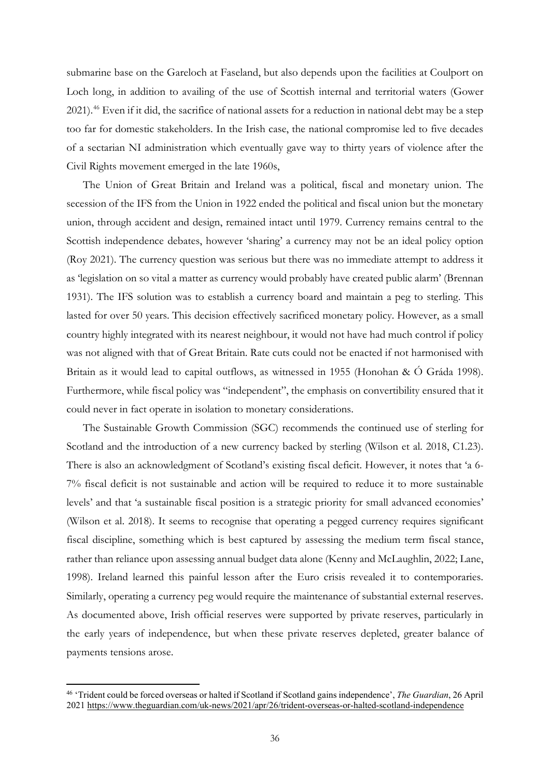submarine base on the Gareloch at Faseland, but also depends upon the facilities at Coulport on Loch long, in addition to availing of the use of Scottish internal and territorial waters (Gower 2021).<sup>[46](#page-36-0)</sup> Even if it did, the sacrifice of national assets for a reduction in national debt may be a step too far for domestic stakeholders. In the Irish case, the national compromise led to five decades of a sectarian NI administration which eventually gave way to thirty years of violence after the Civil Rights movement emerged in the late 1960s,

The Union of Great Britain and Ireland was a political, fiscal and monetary union. The secession of the IFS from the Union in 1922 ended the political and fiscal union but the monetary union, through accident and design, remained intact until 1979. Currency remains central to the Scottish independence debates, however 'sharing' a currency may not be an ideal policy option (Roy 2021). The currency question was serious but there was no immediate attempt to address it as 'legislation on so vital a matter as currency would probably have created public alarm' (Brennan 1931). The IFS solution was to establish a currency board and maintain a peg to sterling. This lasted for over 50 years. This decision effectively sacrificed monetary policy. However, as a small country highly integrated with its nearest neighbour, it would not have had much control if policy was not aligned with that of Great Britain. Rate cuts could not be enacted if not harmonised with Britain as it would lead to capital outflows, as witnessed in 1955 (Honohan & Ó Gráda 1998). Furthermore, while fiscal policy was "independent", the emphasis on convertibility ensured that it could never in fact operate in isolation to monetary considerations.

The Sustainable Growth Commission (SGC) recommends the continued use of sterling for Scotland and the introduction of a new currency backed by sterling (Wilson et al. 2018, C1.23). There is also an acknowledgment of Scotland's existing fiscal deficit. However, it notes that 'a 6- 7% fiscal deficit is not sustainable and action will be required to reduce it to more sustainable levels' and that 'a sustainable fiscal position is a strategic priority for small advanced economies' (Wilson et al. 2018). It seems to recognise that operating a pegged currency requires significant fiscal discipline, something which is best captured by assessing the medium term fiscal stance, rather than reliance upon assessing annual budget data alone (Kenny and McLaughlin, 2022; Lane, 1998). Ireland learned this painful lesson after the Euro crisis revealed it to contemporaries. Similarly, operating a currency peg would require the maintenance of substantial external reserves. As documented above, Irish official reserves were supported by private reserves, particularly in the early years of independence, but when these private reserves depleted, greater balance of payments tensions arose.

<span id="page-36-0"></span><sup>46</sup> 'Trident could be forced overseas or halted if Scotland if Scotland gains independence', *The Guardian*, 26 April 202[1 https://www.theguardian.com/uk-news/2021/apr/26/trident-overseas-or-halted-scotland-independence](https://www.theguardian.com/uk-news/2021/apr/26/trident-overseas-or-halted-scotland-independence)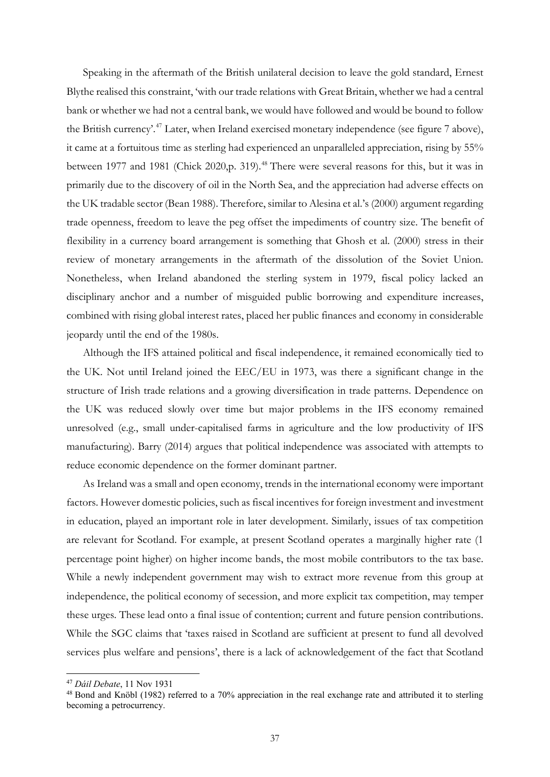Speaking in the aftermath of the British unilateral decision to leave the gold standard, Ernest Blythe realised this constraint, 'with our trade relations with Great Britain, whether we had a central bank or whether we had not a central bank, we would have followed and would be bound to follow the British currency'.<sup>[47](#page-37-0)</sup> Later, when Ireland exercised monetary independence (see figure 7 above), it came at a fortuitous time as sterling had experienced an unparalleled appreciation, rising by 55% between 1977 and 1981 (Chick 2020, p. 319).<sup>[48](#page-37-1)</sup> There were several reasons for this, but it was in primarily due to the discovery of oil in the North Sea, and the appreciation had adverse effects on the UK tradable sector (Bean 1988). Therefore, similar to Alesina et al.'s (2000) argument regarding trade openness, freedom to leave the peg offset the impediments of country size. The benefit of flexibility in a currency board arrangement is something that Ghosh et al. (2000) stress in their review of monetary arrangements in the aftermath of the dissolution of the Soviet Union. Nonetheless, when Ireland abandoned the sterling system in 1979, fiscal policy lacked an disciplinary anchor and a number of misguided public borrowing and expenditure increases, combined with rising global interest rates, placed her public finances and economy in considerable jeopardy until the end of the 1980s.

Although the IFS attained political and fiscal independence, it remained economically tied to the UK. Not until Ireland joined the EEC/EU in 1973, was there a significant change in the structure of Irish trade relations and a growing diversification in trade patterns. Dependence on the UK was reduced slowly over time but major problems in the IFS economy remained unresolved (e.g., small under-capitalised farms in agriculture and the low productivity of IFS manufacturing). Barry (2014) argues that political independence was associated with attempts to reduce economic dependence on the former dominant partner.

As Ireland was a small and open economy, trends in the international economy were important factors. However domestic policies, such as fiscal incentives for foreign investment and investment in education, played an important role in later development. Similarly, issues of tax competition are relevant for Scotland. For example, at present Scotland operates a marginally higher rate (1 percentage point higher) on higher income bands, the most mobile contributors to the tax base. While a newly independent government may wish to extract more revenue from this group at independence, the political economy of secession, and more explicit tax competition, may temper these urges. These lead onto a final issue of contention; current and future pension contributions. While the SGC claims that 'taxes raised in Scotland are sufficient at present to fund all devolved services plus welfare and pensions', there is a lack of acknowledgement of the fact that Scotland

<span id="page-37-0"></span><sup>47</sup> *Dáil Debate*, 11 Nov 1931

<span id="page-37-1"></span><sup>48</sup> Bond and Knöbl (1982) referred to a 70% appreciation in the real exchange rate and attributed it to sterling becoming a petrocurrency.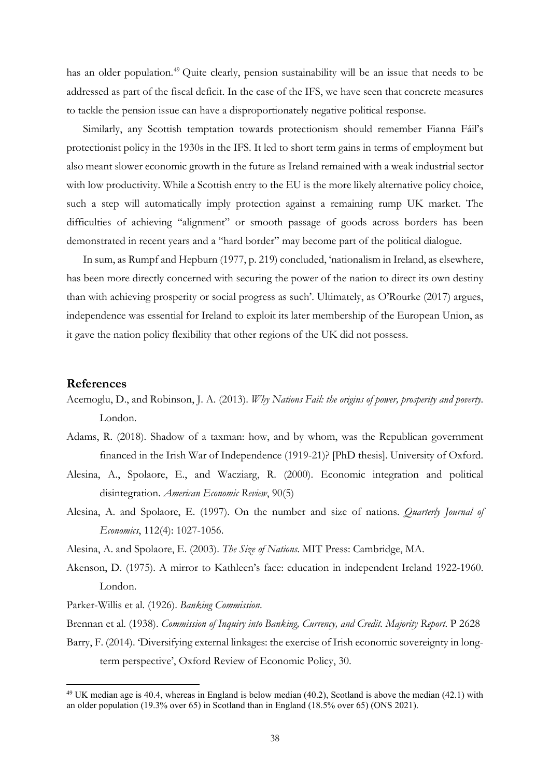has an older population.<sup>[49](#page-38-0)</sup> Quite clearly, pension sustainability will be an issue that needs to be addressed as part of the fiscal deficit. In the case of the IFS, we have seen that concrete measures to tackle the pension issue can have a disproportionately negative political response.

Similarly, any Scottish temptation towards protectionism should remember Fianna Fáil's protectionist policy in the 1930s in the IFS. It led to short term gains in terms of employment but also meant slower economic growth in the future as Ireland remained with a weak industrial sector with low productivity. While a Scottish entry to the EU is the more likely alternative policy choice, such a step will automatically imply protection against a remaining rump UK market. The difficulties of achieving "alignment" or smooth passage of goods across borders has been demonstrated in recent years and a "hard border" may become part of the political dialogue.

In sum, as Rumpf and Hepburn (1977, p. 219) concluded, 'nationalism in Ireland, as elsewhere, has been more directly concerned with securing the power of the nation to direct its own destiny than with achieving prosperity or social progress as such'. Ultimately, as O'Rourke (2017) argues, independence was essential for Ireland to exploit its later membership of the European Union, as it gave the nation policy flexibility that other regions of the UK did not possess.

## **References**

- Acemoglu, D., and Robinson, J. A. (2013). *Why Nations Fail: the origins of power, prosperity and poverty*. London.
- Adams, R. (2018). Shadow of a taxman: how, and by whom, was the Republican government financed in the Irish War of Independence (1919-21)? [PhD thesis]. University of Oxford.
- Alesina, A., Spolaore, E., and Wacziarg, R. (2000). Economic integration and political disintegration. *American Economic Review*, 90(5)
- Alesina, A. and Spolaore, E. (1997). On the number and size of nations. *Quarterly Journal of Economics*, 112(4): 1027-1056.
- Alesina, A. and Spolaore, E. (2003). *The Size of Nations*. MIT Press: Cambridge, MA.
- Akenson, D. (1975). A mirror to Kathleen's face: education in independent Ireland 1922-1960. London.
- Parker-Willis et al. (1926). *Banking Commission*.
- Brennan et al. (1938). *Commission of Inquiry into Banking, Currency, and Credit. Majority Report*. P 2628
- Barry, F. (2014). 'Diversifying external linkages: the exercise of Irish economic sovereignty in longterm perspective', Oxford Review of Economic Policy, 30.

<span id="page-38-0"></span><sup>&</sup>lt;sup>49</sup> UK median age is 40.4, whereas in England is below median (40.2), Scotland is above the median (42.1) with an older population (19.3% over 65) in Scotland than in England (18.5% over 65) (ONS 2021).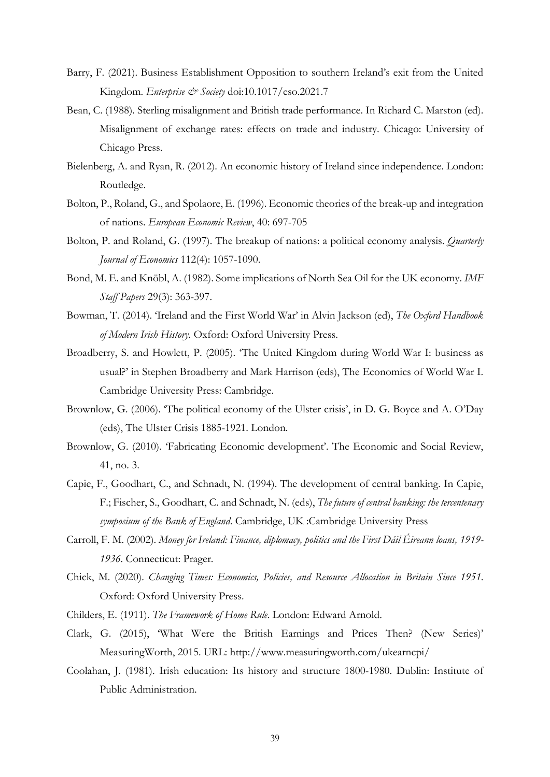- Barry, F. (2021). Business Establishment Opposition to southern Ireland's exit from the United Kingdom. *Enterprise* & Society doi:10.1017/eso.2021.7
- Bean, C. (1988). Sterling misalignment and British trade performance. In Richard C. Marston (ed). Misalignment of exchange rates: effects on trade and industry. Chicago: University of Chicago Press.
- Bielenberg, A. and Ryan, R. (2012). An economic history of Ireland since independence. London: Routledge.
- Bolton, P., Roland, G., and Spolaore, E. (1996). Economic theories of the break-up and integration of nations. *European Economic Review*, 40: 697-705
- Bolton, P. and Roland, G. (1997). The breakup of nations: a political economy analysis. *Quarterly Journal of Economics* 112(4): 1057-1090.
- Bond, M. E. and Knöbl, A. (1982). Some implications of North Sea Oil for the UK economy. *IMF Staff Papers* 29(3): 363-397.
- Bowman, T. (2014). 'Ireland and the First World War' in Alvin Jackson (ed), *The Oxford Handbook of Modern Irish History*. Oxford: Oxford University Press.
- Broadberry, S. and Howlett, P. (2005). 'The United Kingdom during World War I: business as usual?' in Stephen Broadberry and Mark Harrison (eds), The Economics of World War I. Cambridge University Press: Cambridge.
- Brownlow, G. (2006). 'The political economy of the Ulster crisis', in D. G. Boyce and A. O'Day (eds), The Ulster Crisis 1885-1921. London.
- Brownlow, G. (2010). 'Fabricating Economic development'. The Economic and Social Review, 41, no. 3.
- Capie, F., Goodhart, C., and Schnadt, N. (1994). The development of central banking. In Capie, F.; Fischer, S., Goodhart, C. and Schnadt, N. (eds), *The future of central banking: the tercentenary symposium of the Bank of England*. Cambridge, UK :Cambridge University Press
- Carroll, F. M. (2002). *Money for Ireland: Finance, diplomacy, politics and the First Dáil Éireann loans, 1919- 1936*. Connecticut: Prager.
- Chick, M. (2020). *Changing Times: Economics, Policies, and Resource Allocation in Britain Since 1951*. Oxford: Oxford University Press.
- Childers, E. (1911). *The Framework of Home Rule*. London: Edward Arnold.
- Clark, G. (2015), 'What Were the British Earnings and Prices Then? (New Series)' MeasuringWorth, 2015. URL: http://www.measuringworth.com/ukearncpi/
- Coolahan, J. (1981). Irish education: Its history and structure 1800-1980. Dublin: Institute of Public Administration.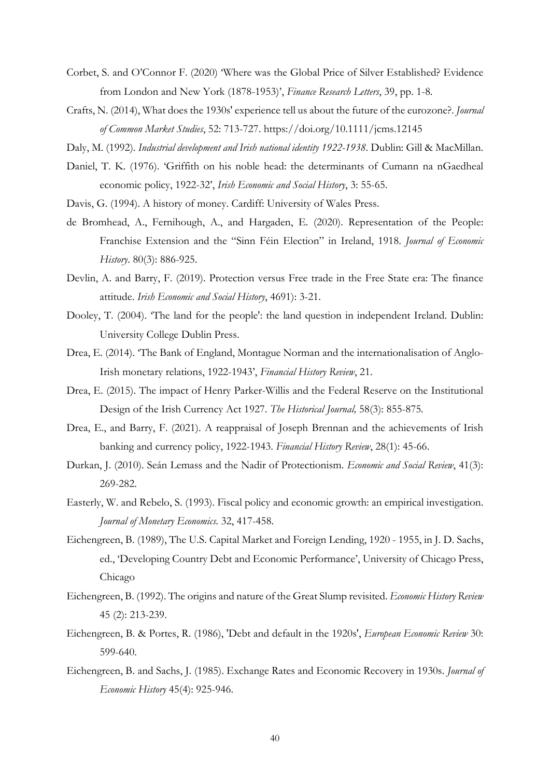- Corbet, S. and O'Connor F. (2020) 'Where was the Global Price of Silver Established? Evidence from London and New York (1878-1953)', *Finance Research Letters*, 39, pp. 1-8.
- Crafts, N. (2014), What does the 1930s' experience tell us about the future of the eurozone?. *Journal of Common Market Studies*, 52: 713-727. https://doi.org/10.1111/jcms.12145
- Daly, M. (1992). *Industrial development and Irish national identity 1922-1938*. Dublin: Gill & MacMillan.
- Daniel, T. K. (1976). 'Griffith on his noble head: the determinants of Cumann na nGaedheal economic policy, 1922-32', *Irish Economic and Social History*, 3: 55-65.
- Davis, G. (1994). A history of money. Cardiff: University of Wales Press.
- de Bromhead, A., Fernihough, A., and Hargaden, E. (2020). Representation of the People: Franchise Extension and the "Sinn Féin Election" in Ireland, 1918. *Journal of Economic History*. 80(3): 886-925.
- Devlin, A. and Barry, F. (2019). Protection versus Free trade in the Free State era: The finance attitude. *Irish Economic and Social History*, 4691): 3-21.
- Dooley, T. (2004). 'The land for the people': the land question in independent Ireland. Dublin: University College Dublin Press.
- Drea, E. (2014). 'The Bank of England, Montague Norman and the internationalisation of Anglo-Irish monetary relations, 1922-1943', *Financial History Review*, 21.
- Drea, E. (2015). The impact of Henry Parker-Willis and the Federal Reserve on the Institutional Design of the Irish Currency Act 1927. *The Historical Journal,* 58(3): 855-875*.*
- Drea, E., and Barry, F. (2021). A reappraisal of Joseph Brennan and the achievements of Irish banking and currency policy, 1922-1943. *Financial History Review*, 28(1): 45-66.
- Durkan, J. (2010). Seán Lemass and the Nadir of Protectionism. *Economic and Social Review*, 41(3): 269-282.
- Easterly, W. and Rebelo, S. (1993). Fiscal policy and economic growth: an empirical investigation. *Journal of Monetary Economics*. 32, 417-458.
- Eichengreen, B. (1989), The U.S. Capital Market and Foreign Lending, 1920 1955, in J. D. Sachs, ed., 'Developing Country Debt and Economic Performance', University of Chicago Press, Chicago
- Eichengreen, B. (1992). The origins and nature of the Great Slump revisited. *Economic History Review* 45 (2): 213-239.
- Eichengreen, B. & Portes, R. (1986), 'Debt and default in the 1920s', *European Economic Review* 30: 599-640.
- Eichengreen, B. and Sachs, J. (1985). Exchange Rates and Economic Recovery in 1930s. *Journal of Economic History* 45(4): 925-946.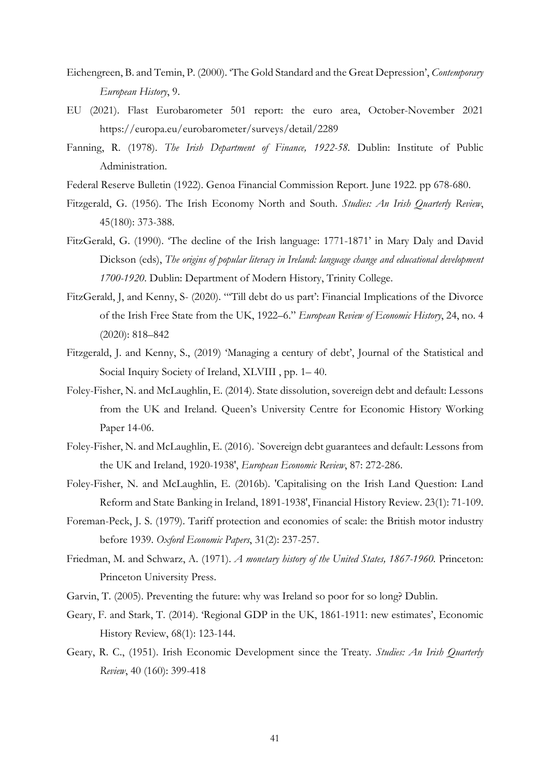- Eichengreen, B. and Temin, P. (2000). 'The Gold Standard and the Great Depression', *Contemporary European History*, 9.
- EU (2021). Flast Eurobarometer 501 report: the euro area, October-November 2021 https://europa.eu/eurobarometer/surveys/detail/2289
- Fanning, R. (1978). *The Irish Department of Finance, 1922-58.* Dublin: Institute of Public Administration.
- Federal Reserve Bulletin (1922). Genoa Financial Commission Report. June 1922. pp 678-680.
- Fitzgerald, G. (1956). The Irish Economy North and South. *Studies: An Irish Quarterly Review*, 45(180): 373-388.
- FitzGerald, G. (1990). 'The decline of the Irish language: 1771-1871' in Mary Daly and David Dickson (eds), *The origins of popular literacy in Ireland: language change and educational development 1700-1920*. Dublin: Department of Modern History, Trinity College.
- FitzGerald, J, and Kenny, S- (2020). "'Till debt do us part': Financial Implications of the Divorce of the Irish Free State from the UK, 1922–6." *European Review of Economic History*, 24, no. 4 (2020): 818–842
- Fitzgerald, J. and Kenny, S., (2019) 'Managing a century of debt', Journal of the Statistical and Social Inquiry Society of Ireland, XLVIII , pp. 1– 40.
- Foley-Fisher, N. and McLaughlin, E. (2014). State dissolution, sovereign debt and default: Lessons from the UK and Ireland. Queen's University Centre for Economic History Working Paper 14-06.
- Foley-Fisher, N. and McLaughlin, E. (2016). `Sovereign debt guarantees and default: Lessons from the UK and Ireland, 1920-1938', *European Economic Review*, 87: 272-286.
- Foley-Fisher, N. and McLaughlin, E. (2016b). 'Capitalising on the Irish Land Question: Land Reform and State Banking in Ireland, 1891-1938', Financial History Review. 23(1): 71-109.
- Foreman-Peck, J. S. (1979). Tariff protection and economies of scale: the British motor industry before 1939. *Oxford Economic Papers*, 31(2): 237-257.
- Friedman, M. and Schwarz, A. (1971). *A monetary history of the United States, 1867-1960.* Princeton: Princeton University Press.
- Garvin, T. (2005). Preventing the future: why was Ireland so poor for so long? Dublin.
- Geary, F. and Stark, T. (2014). 'Regional GDP in the UK, 1861-1911: new estimates', Economic History Review, 68(1): 123-144.
- Geary, R. C., (1951). Irish Economic Development since the Treaty. *Studies: An Irish Quarterly Review*, 40 (160): 399-418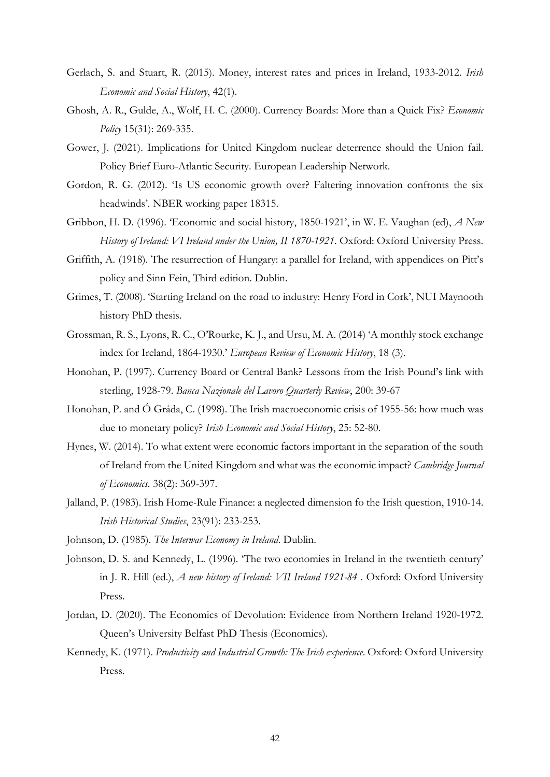- Gerlach, S. and Stuart, R. (2015). Money, interest rates and prices in Ireland, 1933-2012. *Irish Economic and Social History*, 42(1).
- Ghosh, A. R., Gulde, A., Wolf, H. C. (2000). Currency Boards: More than a Quick Fix? *Economic Policy* 15(31): 269-335.
- Gower, J. (2021). Implications for United Kingdom nuclear deterrence should the Union fail. Policy Brief Euro-Atlantic Security. European Leadership Network.
- Gordon, R. G. (2012). 'Is US economic growth over? Faltering innovation confronts the six headwinds'. NBER working paper 18315.
- Gribbon, H. D. (1996). 'Economic and social history, 1850-1921', in W. E. Vaughan (ed), *A New History of Ireland: VI Ireland under the Union, II 1870-1921*. Oxford: Oxford University Press.
- Griffith, A. (1918). The resurrection of Hungary: a parallel for Ireland, with appendices on Pitt's policy and Sinn Fein, Third edition. Dublin.
- Grimes, T. (2008). 'Starting Ireland on the road to industry: Henry Ford in Cork', NUI Maynooth history PhD thesis.
- Grossman, R. S., Lyons, R. C., O'Rourke, K. J., and Ursu, M. A. (2014) 'A monthly stock exchange index for Ireland, 1864-1930.' *European Review of Economic History*, 18 (3).
- Honohan, P. (1997). Currency Board or Central Bank? Lessons from the Irish Pound's link with sterling, 1928-79. *Banca Nazionale del Lavoro Quarterly Review*, 200: 39-67
- Honohan, P. and Ó Gráda, C. (1998). The Irish macroeconomic crisis of 1955-56: how much was due to monetary policy? *Irish Economic and Social History*, 25: 52-80.
- Hynes, W. (2014). To what extent were economic factors important in the separation of the south of Ireland from the United Kingdom and what was the economic impact? *Cambridge Journal of Economics*. 38(2): 369-397.
- Jalland, P. (1983). Irish Home-Rule Finance: a neglected dimension fo the Irish question, 1910-14. *Irish Historical Studies*, 23(91): 233-253.
- Johnson, D. (1985). *The Interwar Economy in Ireland*. Dublin.
- Johnson, D. S. and Kennedy, L. (1996). 'The two economies in Ireland in the twentieth century' in J. R. Hill (ed.), *A new history of Ireland: VII Ireland 1921-84* . Oxford: Oxford University Press.
- Jordan, D. (2020). The Economics of Devolution: Evidence from Northern Ireland 1920-1972. Queen's University Belfast PhD Thesis (Economics).
- Kennedy, K. (1971). *Productivity and Industrial Growth: The Irish experience*. Oxford: Oxford University Press.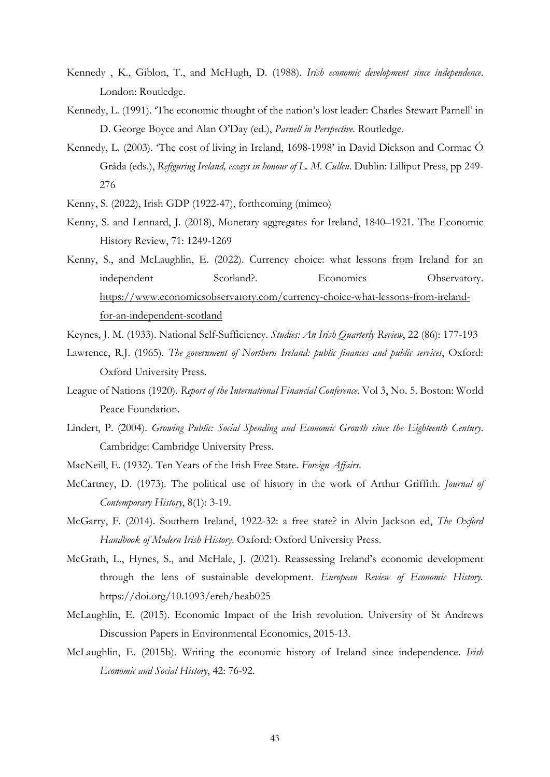- Kennedy , K., Giblon, T., and McHugh, D. (1988). *Irish economic development since independence*. London: Routledge.
- Kennedy, L. (1991). 'The economic thought of the nation's lost leader: Charles Stewart Parnell' in D. George Boyce and Alan O'Day (ed.), *Parnell in Perspective.* Routledge.
- Kennedy, L. (2003). 'The cost of living in Ireland, 1698-1998' in David Dickson and Cormac Ó Gráda (eds.), *Refiguring Ireland, essays in honour of L. M. Cullen*. Dublin: Lilliput Press, pp 249- 276
- Kenny, S. (2022), Irish GDP (1922-47), forthcoming (mimeo)
- Kenny, S. and Lennard, J. (2018), Monetary aggregates for Ireland, 1840–1921. The Economic History Review, 71: 1249-1269
- Kenny, S., and McLaughlin, E. (2022). Currency choice: what lessons from Ireland for an independent Scotland?. Economics Observatory. [https://www.economicsobservatory.com/currency-choice-what-lessons-from-ireland](https://www.economicsobservatory.com/currency-choice-what-lessons-from-ireland-for-an-independent-scotland)[for-an-independent-scotland](https://www.economicsobservatory.com/currency-choice-what-lessons-from-ireland-for-an-independent-scotland)
- Keynes, J. M. (1933). National Self-Sufficiency. *Studies: An Irish Quarterly Review*, 22 (86): 177-193
- Lawrence, R.J. (1965). *The government of Northern Ireland: public finances and public services*, Oxford: Oxford University Press.
- League of Nations (1920). *Report of the International Financial Conference*. Vol 3, No. 5. Boston: World Peace Foundation.
- Lindert, P. (2004). *Growing Public: Social Spending and Economic Growth since the Eighteenth Century*. Cambridge: Cambridge University Press.
- MacNeill, E. (1932). Ten Years of the Irish Free State. *Foreign Affairs*.
- McCartney, D. (1973). The political use of history in the work of Arthur Griffith. *Journal of Contemporary History*, 8(1): 3-19.
- McGarry, F. (2014). Southern Ireland, 1922-32: a free state? in Alvin Jackson ed, *The Oxford Handbook of Modern Irish History*. Oxford: Oxford University Press.
- McGrath, L., Hynes, S., and McHale, J. (2021). Reassessing Ireland's economic development through the lens of sustainable development. *European Review of Economic History.*  https://doi.org/10.1093/ereh/heab025
- McLaughlin, E. (2015). Economic Impact of the Irish revolution. University of St Andrews Discussion Papers in Environmental Economics, 2015-13.
- McLaughlin, E. (2015b). Writing the economic history of Ireland since independence. *Irish Economic and Social History*, 42: 76-92.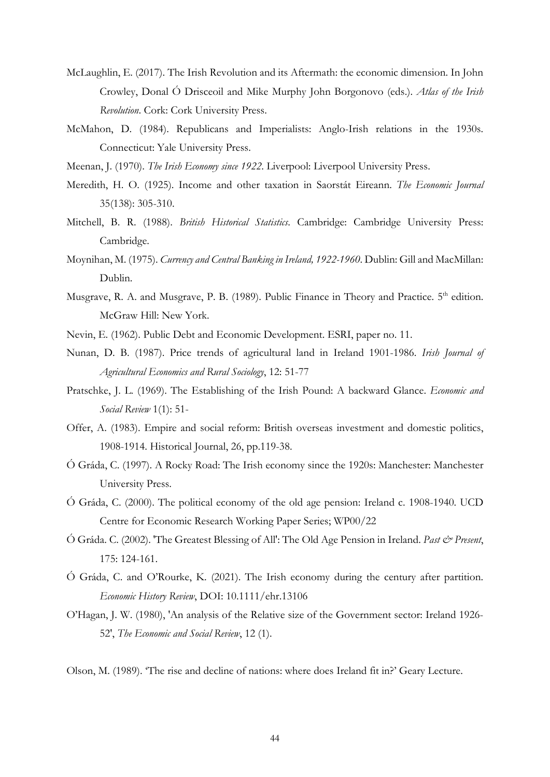- McLaughlin, E. (2017). The Irish Revolution and its Aftermath: the economic dimension. In John Crowley, Donal Ó Drisceoil and Mike Murphy John Borgonovo (eds.). *Atlas of the Irish Revolution*. Cork: Cork University Press.
- McMahon, D. (1984). Republicans and Imperialists: Anglo-Irish relations in the 1930s. Connecticut: Yale University Press.
- Meenan, J. (1970). *The Irish Economy since 1922*. Liverpool: Liverpool University Press.
- Meredith, H. O. (1925). Income and other taxation in Saorstát Eireann. *The Economic Journal* 35(138): 305-310.
- Mitchell, B. R. (1988). *British Historical Statistics*. Cambridge: Cambridge University Press: Cambridge.
- Moynihan, M. (1975). *Currency and Central Banking in Ireland, 1922-1960*. Dublin: Gill and MacMillan: Dublin.
- Musgrave, R. A. and Musgrave, P. B. (1989). Public Finance in Theory and Practice. 5<sup>th</sup> edition. McGraw Hill: New York.
- Nevin, E. (1962). Public Debt and Economic Development. ESRI, paper no. 11.
- Nunan, D. B. (1987). Price trends of agricultural land in Ireland 1901-1986. *Irish Journal of Agricultural Economics and Rural Sociology*, 12: 51-77
- Pratschke, J. L. (1969). The Establishing of the Irish Pound: A backward Glance. *Economic and Social Review* 1(1): 51-
- Offer, A. (1983). Empire and social reform: British overseas investment and domestic politics, 1908-1914. Historical Journal, 26, pp.119-38.
- Ó Gráda, C. (1997). A Rocky Road: The Irish economy since the 1920s: Manchester: Manchester University Press.
- Ó Gráda, C. (2000). The political economy of the old age pension: Ireland c. 1908-1940. UCD Centre for Economic Research Working Paper Series; WP00/22
- Ó Gráda. C. (2002). 'The Greatest Blessing of All': The Old Age Pension in Ireland. *Past & Present*, 175: 124-161.
- Ó Gráda, C. and O'Rourke, K. (2021). The Irish economy during the century after partition. *Economic History Review*, DOI: 10.1111/ehr.13106
- O'Hagan, J. W. (1980), 'An analysis of the Relative size of the Government sector: Ireland 1926- 52', *The Economic and Social Review*, 12 (1).
- Olson, M. (1989). 'The rise and decline of nations: where does Ireland fit in?' Geary Lecture.